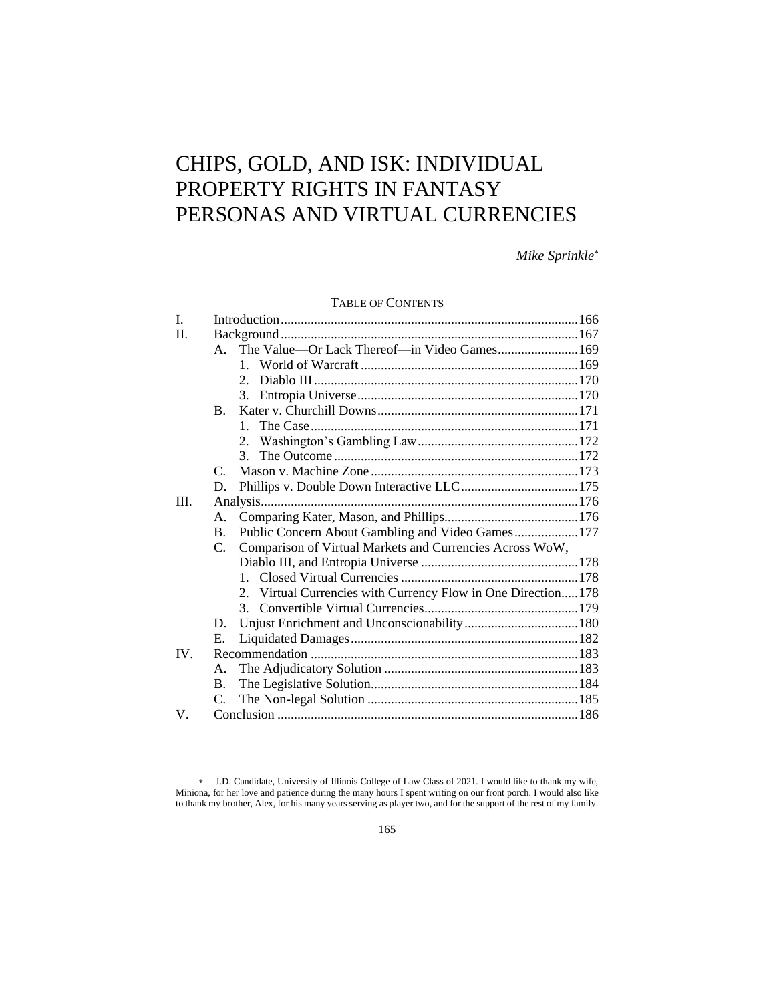# CHIPS, GOLD, AND ISK: INDIVIDUAL PROPERTY RIGHTS IN FANTASY PERSONAS AND VIRTUAL CURRENCIES

*Mike Sprinkle*

# TABLE OF CONTENTS

| $\mathbf{I}$ . |                      |                                                              |  |
|----------------|----------------------|--------------------------------------------------------------|--|
| $\Pi$ .        |                      |                                                              |  |
|                | $A_{\cdot}$          | The Value-Or Lack Thereof-in Video Games 169                 |  |
|                |                      |                                                              |  |
|                |                      |                                                              |  |
|                |                      |                                                              |  |
|                | $\mathbf{B}_{\cdot}$ |                                                              |  |
|                |                      | $1_{-}$                                                      |  |
|                |                      |                                                              |  |
|                |                      | 3.                                                           |  |
|                | $\mathcal{C}$        |                                                              |  |
|                | D.                   |                                                              |  |
| III.           |                      |                                                              |  |
|                | A.                   |                                                              |  |
|                | B.                   | Public Concern About Gambling and Video Games177             |  |
|                | C.                   | Comparison of Virtual Markets and Currencies Across WoW,     |  |
|                |                      |                                                              |  |
|                |                      |                                                              |  |
|                |                      | 2. Virtual Currencies with Currency Flow in One Direction178 |  |
|                |                      |                                                              |  |
|                | D.                   |                                                              |  |
|                | E.                   |                                                              |  |
| IV.            |                      |                                                              |  |
|                | A.                   |                                                              |  |
|                | B.                   |                                                              |  |
|                | C.                   |                                                              |  |
| $V_{\cdot}$    |                      |                                                              |  |

J.D. Candidate, University of Illinois College of Law Class of 2021. I would like to thank my wife, Miniona, for her love and patience during the many hours I spent writing on our front porch. I would also like to thank my brother, Alex, for his many years serving as player two, and for the support of the rest of my family.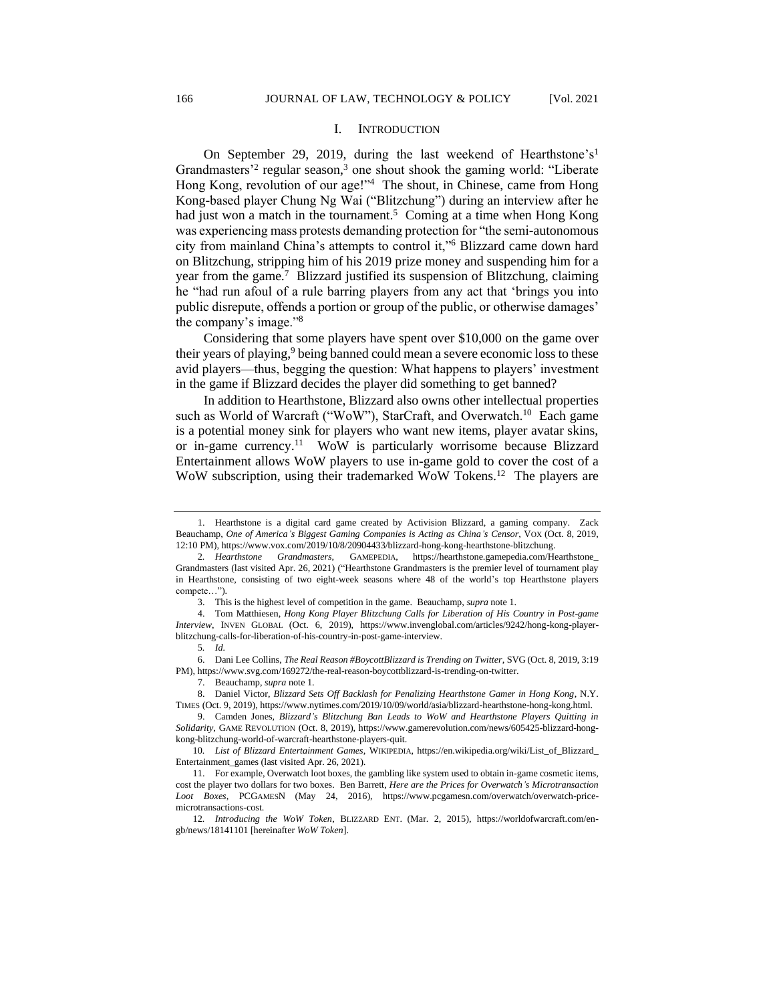#### I. INTRODUCTION

On September 29, 2019, during the last weekend of Hearthstone's<sup>1</sup> Grandmasters<sup>2</sup> regular season,<sup>3</sup> one shout shook the gaming world: "Liberate Hong Kong, revolution of our age!"<sup>4</sup> The shout, in Chinese, came from Hong Kong-based player Chung Ng Wai ("Blitzchung") during an interview after he had just won a match in the tournament.<sup>5</sup> Coming at a time when Hong Kong was experiencing mass protests demanding protection for "the semi-autonomous city from mainland China's attempts to control it,"<sup>6</sup> Blizzard came down hard on Blitzchung, stripping him of his 2019 prize money and suspending him for a year from the game.<sup>7</sup> Blizzard justified its suspension of Blitzchung, claiming he "had run afoul of a rule barring players from any act that 'brings you into public disrepute, offends a portion or group of the public, or otherwise damages' the company's image."<sup>8</sup>

Considering that some players have spent over \$10,000 on the game over their years of playing,  $9$  being banned could mean a severe economic loss to these avid players—thus, begging the question: What happens to players' investment in the game if Blizzard decides the player did something to get banned?

In addition to Hearthstone, Blizzard also owns other intellectual properties such as World of Warcraft ("WoW"), StarCraft, and Overwatch.<sup>10</sup> Each game is a potential money sink for players who want new items, player avatar skins, or in-game currency.<sup>11</sup> WoW is particularly worrisome because Blizzard Entertainment allows WoW players to use in-game gold to cover the cost of a WoW subscription, using their trademarked WoW Tokens.<sup>12</sup> The players are

<sup>1.</sup> Hearthstone is a digital card game created by Activision Blizzard, a gaming company. Zack Beauchamp, *One of America's Biggest Gaming Companies is Acting as China's Censor*, VOX (Oct. 8, 2019, 12:10 PM), https://www.vox.com/2019/10/8/20904433/blizzard-hong-kong-hearthstone-blitzchung.

<sup>2</sup>*. Hearthstone Grandmasters*, GAMEPEDIA, https://hearthstone.gamepedia.com/Hearthstone\_ Grandmasters (last visited Apr. 26, 2021) ("Hearthstone Grandmasters is the premier level of tournament play in Hearthstone, consisting of two eight-week seasons where 48 of the world's top Hearthstone players compete…").

<sup>3.</sup> This is the highest level of competition in the game. Beauchamp, *supra* note 1.

<sup>4.</sup> Tom Matthiesen, *Hong Kong Player Blitzchung Calls for Liberation of His Country in Post-game Interview*, INVEN GLOBAL (Oct. 6, 2019), https://www.invenglobal.com/articles/9242/hong-kong-playerblitzchung-calls-for-liberation-of-his-country-in-post-game-interview.

<sup>5</sup>*. Id.*

<sup>6.</sup> Dani Lee Collins, *The Real Reason #BoycottBlizzard is Trending on Twitter*, SVG (Oct. 8, 2019, 3:19 PM), https://www.svg.com/169272/the-real-reason-boycottblizzard-is-trending-on-twitter.

<sup>7.</sup> Beauchamp, *supra* note 1.

<sup>8.</sup> Daniel Victor, *Blizzard Sets Off Backlash for Penalizing Hearthstone Gamer in Hong Kong*, N.Y. TIMES (Oct. 9, 2019), https://www.nytimes.com/2019/10/09/world/asia/blizzard-hearthstone-hong-kong.html.

<sup>9.</sup> Camden Jones, *Blizzard's Blitzchung Ban Leads to WoW and Hearthstone Players Quitting in Solidarity*, GAME REVOLUTION (Oct. 8, 2019), https://www.gamerevolution.com/news/605425-blizzard-hongkong-blitzchung-world-of-warcraft-hearthstone-players-quit.

<sup>10</sup>*. List of Blizzard Entertainment Games*, WIKIPEDIA, https://en.wikipedia.org/wiki/List\_of\_Blizzard\_ Entertainment\_games (last visited Apr. 26, 2021).

<sup>11.</sup> For example, Overwatch loot boxes, the gambling like system used to obtain in-game cosmetic items, cost the player two dollars for two boxes. Ben Barrett, *Here are the Prices for Overwatch's Microtransaction Loot Boxes*, PCGAMESN (May 24, 2016), https://www.pcgamesn.com/overwatch/overwatch-pricemicrotransactions-cost.

<sup>12</sup>*. Introducing the WoW Token*, BLIZZARD ENT. (Mar. 2, 2015), https://worldofwarcraft.com/engb/news/18141101 [hereinafter *WoW Token*].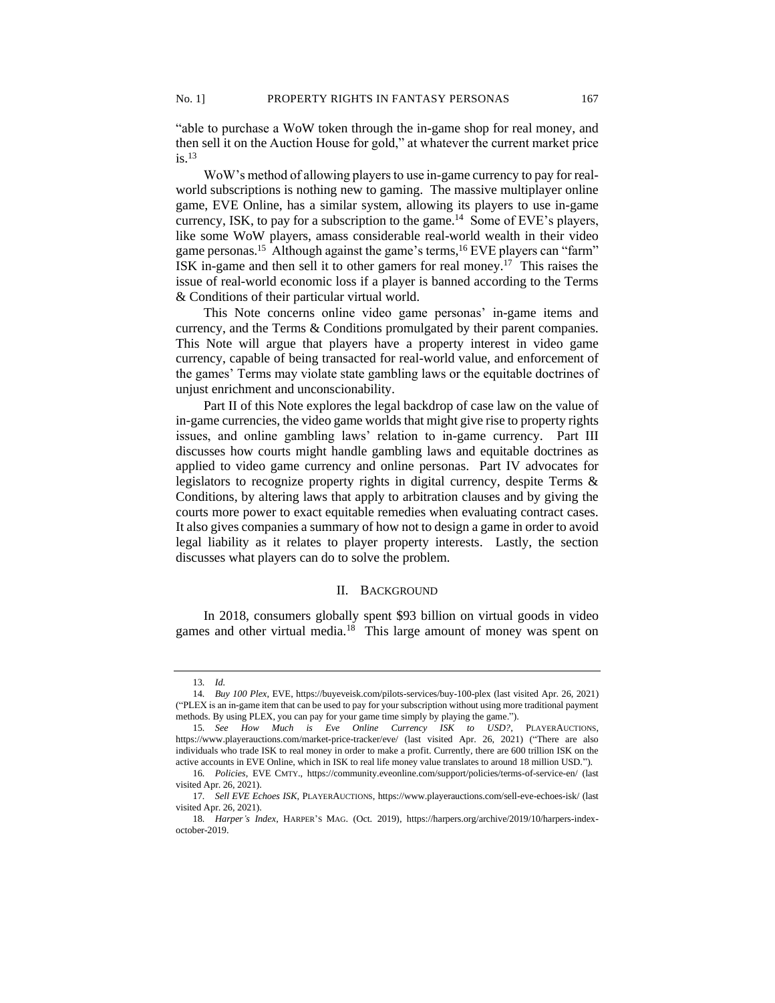"able to purchase a WoW token through the in-game shop for real money, and then sell it on the Auction House for gold," at whatever the current market price  $is.$ <sup>13</sup>

WoW's method of allowing players to use in-game currency to pay for realworld subscriptions is nothing new to gaming. The massive multiplayer online game, EVE Online, has a similar system, allowing its players to use in-game currency, ISK, to pay for a subscription to the game.<sup>14</sup> Some of EVE's players, like some WoW players, amass considerable real-world wealth in their video game personas.<sup>15</sup> Although against the game's terms,<sup>16</sup> EVE players can "farm" ISK in-game and then sell it to other gamers for real money.<sup>17</sup> This raises the issue of real-world economic loss if a player is banned according to the Terms & Conditions of their particular virtual world.

This Note concerns online video game personas' in-game items and currency, and the Terms & Conditions promulgated by their parent companies. This Note will argue that players have a property interest in video game currency, capable of being transacted for real-world value, and enforcement of the games' Terms may violate state gambling laws or the equitable doctrines of unjust enrichment and unconscionability.

Part II of this Note explores the legal backdrop of case law on the value of in-game currencies, the video game worlds that might give rise to property rights issues, and online gambling laws' relation to in-game currency. Part III discusses how courts might handle gambling laws and equitable doctrines as applied to video game currency and online personas. Part IV advocates for legislators to recognize property rights in digital currency, despite Terms & Conditions, by altering laws that apply to arbitration clauses and by giving the courts more power to exact equitable remedies when evaluating contract cases. It also gives companies a summary of how not to design a game in order to avoid legal liability as it relates to player property interests. Lastly, the section discusses what players can do to solve the problem.

## II. BACKGROUND

In 2018, consumers globally spent \$93 billion on virtual goods in video games and other virtual media.<sup>18</sup> This large amount of money was spent on

<sup>13</sup>*. Id.*

<sup>14</sup>*. Buy 100 Plex*, EVE, https://buyeveisk.com/pilots-services/buy-100-plex (last visited Apr. 26, 2021) ("PLEX is an in-game item that can be used to pay for your subscription without using more traditional payment methods. By using PLEX, you can pay for your game time simply by playing the game.").

<sup>15</sup>*. See How Much is Eve Online Currency ISK to USD?*, PLAYERAUCTIONS, https://www.playerauctions.com/market-price-tracker/eve/ (last visited Apr. 26, 2021) ("There are also individuals who trade ISK to real money in order to make a profit. Currently, there are 600 trillion ISK on the active accounts in EVE Online, which in ISK to real life money value translates to around 18 million USD.").

<sup>16</sup>*. Policies*, EVE CMTY., https://community.eveonline.com/support/policies/terms-of-service-en/ (last visited Apr. 26, 2021).

<sup>17</sup>*. Sell EVE Echoes ISK*, PLAYERAUCTIONS, https://www.playerauctions.com/sell-eve-echoes-isk/ (last visited Apr. 26, 2021).

<sup>18</sup>*. Harper's Index*, HARPER'S MAG. (Oct. 2019), https://harpers.org/archive/2019/10/harpers-indexoctober-2019.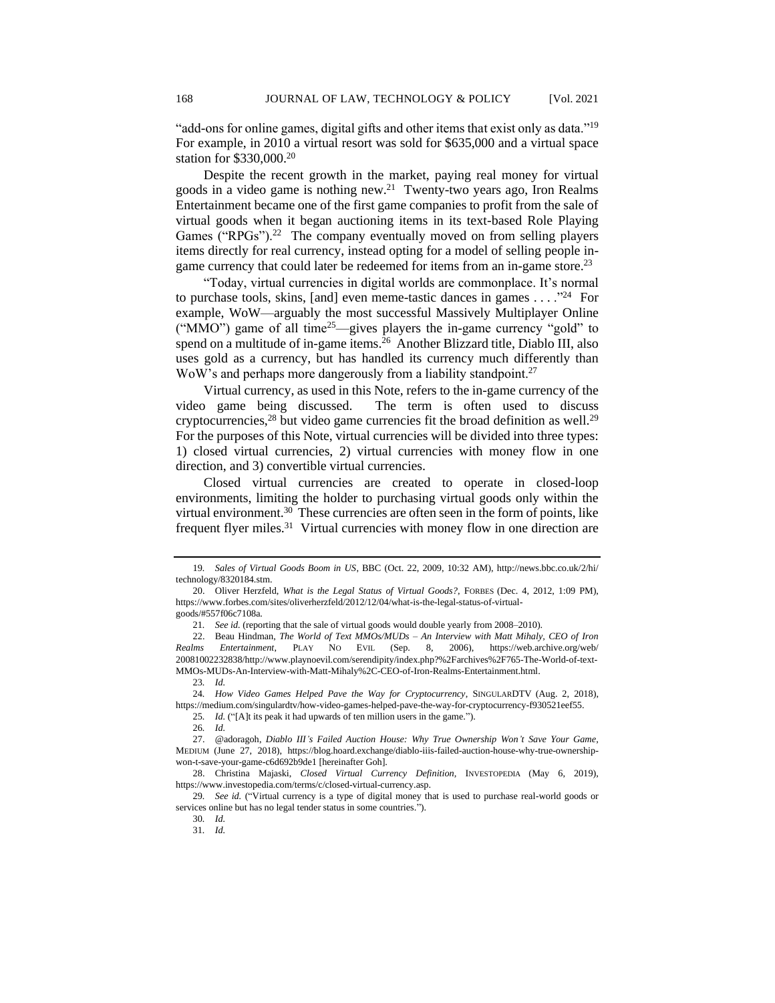"add-ons for online games, digital gifts and other items that exist only as data."<sup>19</sup> For example, in 2010 a virtual resort was sold for \$635,000 and a virtual space station for \$330,000.<sup>20</sup>

Despite the recent growth in the market, paying real money for virtual goods in a video game is nothing new.<sup>21</sup> Twenty-two years ago, Iron Realms Entertainment became one of the first game companies to profit from the sale of virtual goods when it began auctioning items in its text-based Role Playing Games ("RPGs"). $22$  The company eventually moved on from selling players items directly for real currency, instead opting for a model of selling people ingame currency that could later be redeemed for items from an in-game store.<sup>23</sup>

"Today, virtual currencies in digital worlds are commonplace. It's normal to purchase tools, skins, [and] even meme-tastic dances in games  $\dots$ ."<sup>24</sup> For example, WoW—arguably the most successful Massively Multiplayer Online ("MMO") game of all time<sup>25</sup>—gives players the in-game currency "gold" to spend on a multitude of in-game items.<sup>26</sup> Another Blizzard title, Diablo III, also uses gold as a currency, but has handled its currency much differently than WoW's and perhaps more dangerously from a liability standpoint.<sup>27</sup>

Virtual currency, as used in this Note, refers to the in-game currency of the video game being discussed. The term is often used to discuss cryptocurrencies,<sup>28</sup> but video game currencies fit the broad definition as well.<sup>29</sup> For the purposes of this Note, virtual currencies will be divided into three types: 1) closed virtual currencies, 2) virtual currencies with money flow in one direction, and 3) convertible virtual currencies.

Closed virtual currencies are created to operate in closed-loop environments, limiting the holder to purchasing virtual goods only within the virtual environment.<sup>30</sup> These currencies are often seen in the form of points, like frequent flyer miles.<sup>31</sup> Virtual currencies with money flow in one direction are

23*. Id.*

25*. Id.* ("[A]t its peak it had upwards of ten million users in the game.").

<sup>19</sup>*. Sales of Virtual Goods Boom in US*, BBC (Oct. 22, 2009, 10:32 AM), http://news.bbc.co.uk/2/hi/ technology/8320184.stm.

<sup>20.</sup> Oliver Herzfeld, *What is the Legal Status of Virtual Goods?*, FORBES (Dec. 4, 2012, 1:09 PM), https://www.forbes.com/sites/oliverherzfeld/2012/12/04/what-is-the-legal-status-of-virtualgoods/#557f06c7108a.

<sup>21</sup>*. See id.* (reporting that the sale of virtual goods would double yearly from 2008–2010).

<sup>22.</sup> Beau Hindman, *The World of Text MMOs/MUDs – An Interview with Matt Mihaly, CEO of Iron Realms Entertainment*, PLAY NO EVIL (Sep. 8, 2006), https://web.archive.org/web/ 20081002232838/http://www.playnoevil.com/serendipity/index.php?%2Farchives%2F765-The-World-of-text-MMOs-MUDs-An-Interview-with-Matt-Mihaly%2C-CEO-of-Iron-Realms-Entertainment.html.

<sup>24</sup>*. How Video Games Helped Pave the Way for Cryptocurrency*, SINGULARDTV (Aug. 2, 2018), https://medium.com/singulardtv/how-video-games-helped-pave-the-way-for-cryptocurrency-f930521eef55.

<sup>26</sup>*. Id.*

<sup>27.</sup> @adoragoh, *Diablo III's Failed Auction House: Why True Ownership Won't Save Your Game*, MEDIUM (June 27, 2018), https://blog.hoard.exchange/diablo-iiis-failed-auction-house-why-true-ownershipwon-t-save-your-game-c6d692b9de1 [hereinafter Goh].

<sup>28.</sup> Christina Majaski, *Closed Virtual Currency Definition,* INVESTOPEDIA (May 6, 2019), https://www.investopedia.com/terms/c/closed-virtual-currency.asp.

<sup>29</sup>*. See id.* ("Virtual currency is a type of digital money that is used to purchase real-world goods or services online but has no legal tender status in some countries.").

<sup>30</sup>*. Id.*

<sup>31</sup>*. Id.*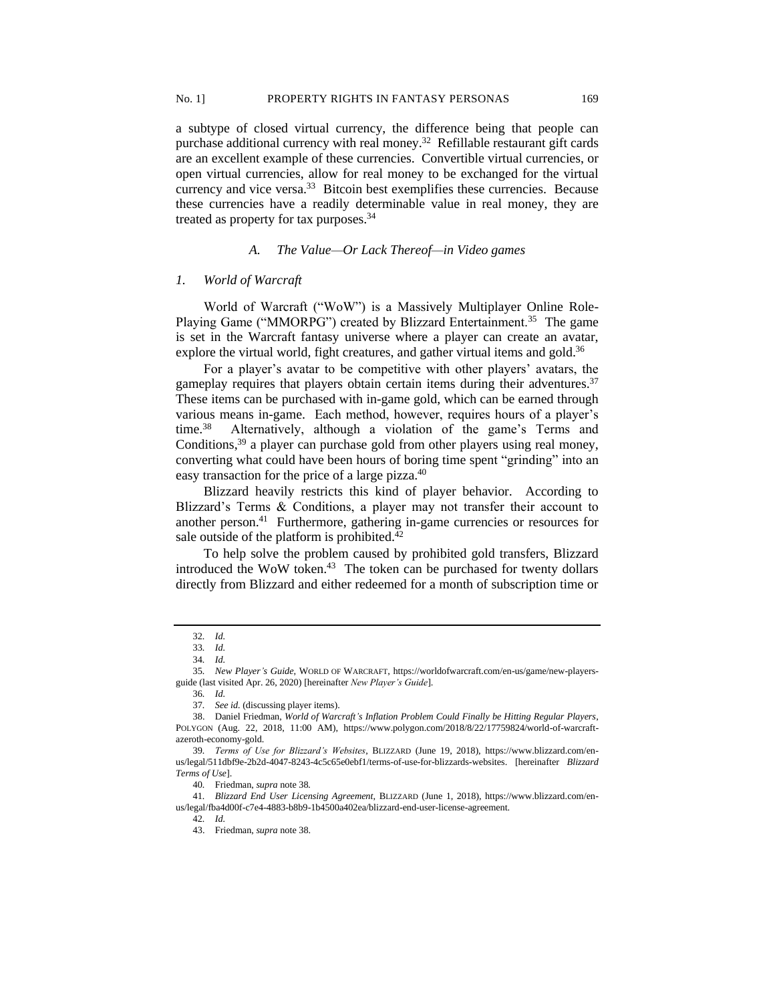a subtype of closed virtual currency, the difference being that people can purchase additional currency with real money.<sup>32</sup> Refillable restaurant gift cards are an excellent example of these currencies. Convertible virtual currencies, or open virtual currencies, allow for real money to be exchanged for the virtual currency and vice versa.<sup>33</sup> Bitcoin best exemplifies these currencies. Because these currencies have a readily determinable value in real money, they are treated as property for tax purposes.<sup>34</sup>

# *A. The Value—Or Lack Thereof—in Video games*

#### *1. World of Warcraft*

World of Warcraft ("WoW") is a Massively Multiplayer Online Role-Playing Game ("MMORPG") created by Blizzard Entertainment.<sup>35</sup> The game is set in the Warcraft fantasy universe where a player can create an avatar, explore the virtual world, fight creatures, and gather virtual items and gold.<sup>36</sup>

For a player's avatar to be competitive with other players' avatars, the gameplay requires that players obtain certain items during their adventures.<sup>37</sup> These items can be purchased with in-game gold, which can be earned through various means in-game. Each method, however, requires hours of a player's time. $38$  Alternatively, although a violation of the game's Terms and Conditions,  $39$  a player can purchase gold from other players using real money, converting what could have been hours of boring time spent "grinding" into an easy transaction for the price of a large pizza.<sup>40</sup>

Blizzard heavily restricts this kind of player behavior. According to Blizzard's Terms & Conditions, a player may not transfer their account to another person.<sup>41</sup> Furthermore, gathering in-game currencies or resources for sale outside of the platform is prohibited.<sup>42</sup>

To help solve the problem caused by prohibited gold transfers, Blizzard introduced the WoW token. $43$  The token can be purchased for twenty dollars directly from Blizzard and either redeemed for a month of subscription time or

42*. Id.*

<sup>32</sup>*. Id.*

<sup>33</sup>*. Id.*

<sup>34</sup>*. Id.*

<sup>35</sup>*. New Player's Guide*, WORLD OF WARCRAFT, https://worldofwarcraft.com/en-us/game/new-playersguide (last visited Apr. 26, 2020) [hereinafter *New Player's Guide*].

<sup>36</sup>*. Id.*

<sup>37</sup>*. See id.* (discussing player items).

<sup>38.</sup> Daniel Friedman, *World of Warcraft's Inflation Problem Could Finally be Hitting Regular Players*, POLYGON (Aug. 22, 2018, 11:00 AM), https://www.polygon.com/2018/8/22/17759824/world-of-warcraftazeroth-economy-gold.

<sup>39</sup>*. Terms of Use for Blizzard's Websites*, BLIZZARD (June 19, 2018), https://www.blizzard.com/enus/legal/511dbf9e-2b2d-4047-8243-4c5c65e0ebf1/terms-of-use-for-blizzards-websites. [hereinafter *Blizzard Terms of Use*].

<sup>40</sup>*.* Friedman, *supra* note 38*.*

<sup>41</sup>*. Blizzard End User Licensing Agreement*, BLIZZARD (June 1, 2018), https://www.blizzard.com/enus/legal/fba4d00f-c7e4-4883-b8b9-1b4500a402ea/blizzard-end-user-license-agreement.

<sup>43.</sup> Friedman, *supra* note 38.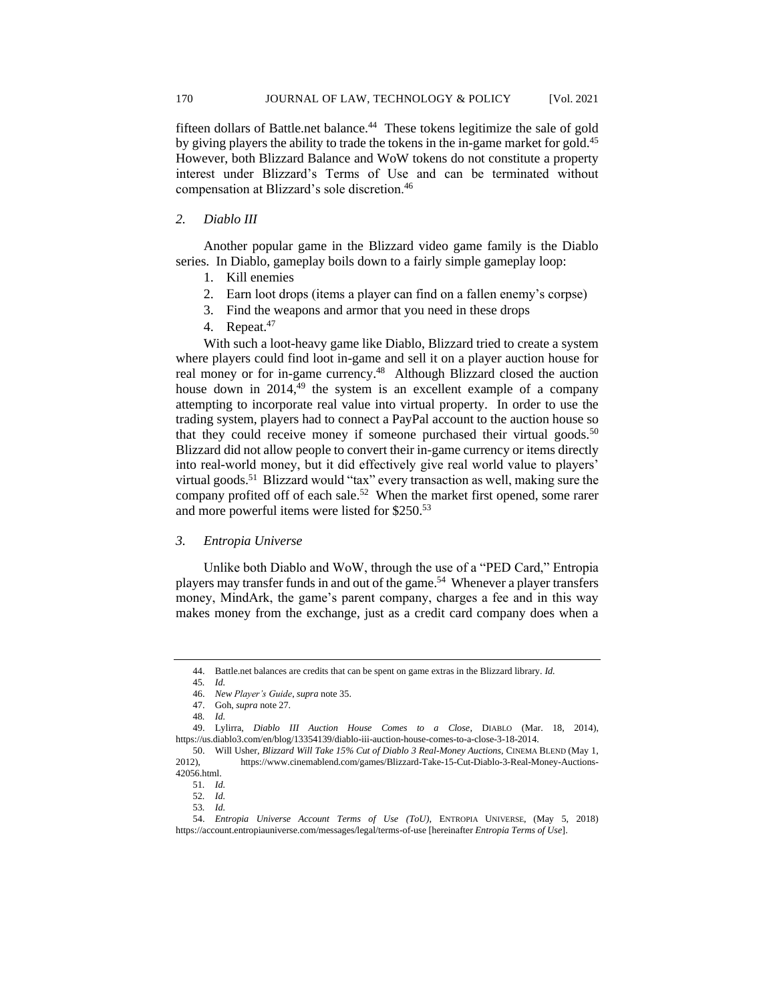fifteen dollars of Battle.net balance.<sup>44</sup> These tokens legitimize the sale of gold by giving players the ability to trade the tokens in the in-game market for gold.<sup>45</sup> However, both Blizzard Balance and WoW tokens do not constitute a property interest under Blizzard's Terms of Use and can be terminated without compensation at Blizzard's sole discretion.<sup>46</sup>

## *2. Diablo III*

Another popular game in the Blizzard video game family is the Diablo series. In Diablo, gameplay boils down to a fairly simple gameplay loop:

- 1. Kill enemies
- 2. Earn loot drops (items a player can find on a fallen enemy's corpse)
- 3. Find the weapons and armor that you need in these drops
- 4. Repeat.<sup>47</sup>

With such a loot-heavy game like Diablo, Blizzard tried to create a system where players could find loot in-game and sell it on a player auction house for real money or for in-game currency.<sup>48</sup> Although Blizzard closed the auction house down in  $2014<sup>49</sup>$  the system is an excellent example of a company attempting to incorporate real value into virtual property. In order to use the trading system, players had to connect a PayPal account to the auction house so that they could receive money if someone purchased their virtual goods.<sup>50</sup> Blizzard did not allow people to convert their in-game currency or items directly into real-world money, but it did effectively give real world value to players' virtual goods.<sup>51</sup> Blizzard would "tax" every transaction as well, making sure the company profited off of each sale.<sup>52</sup> When the market first opened, some rarer and more powerful items were listed for \$250. 53

## *3. Entropia Universe*

Unlike both Diablo and WoW, through the use of a "PED Card," Entropia players may transfer funds in and out of the game.<sup>54</sup> Whenever a player transfers money, MindArk, the game's parent company, charges a fee and in this way makes money from the exchange, just as a credit card company does when a

<sup>44.</sup> Battle.net balances are credits that can be spent on game extras in the Blizzard library. *Id.* 

<sup>45</sup>*. Id.*

<sup>46.</sup> *New Player's Guide*, *supra* note 35.

<sup>47.</sup> Goh, *supra* note 27.

<sup>48</sup>*. Id.*

<sup>49.</sup> Lylirra, *Diablo III Auction House Comes to a Close*, DIABLO (Mar. 18, 2014), https://us.diablo3.com/en/blog/13354139/diablo-iii-auction-house-comes-to-a-close-3-18-2014.

<sup>50.</sup> Will Usher, *Blizzard Will Take 15% Cut of Diablo 3 Real-Money Auctions*, CINEMA BLEND (May 1, 2012), https://www.cinemablend.com/games/Blizzard-Take-15-Cut-Diablo-3-Real-Money-Auctions-42056.html.

<sup>51</sup>*. Id.*

<sup>52</sup>*. Id.*

<sup>53</sup>*. Id.*

<sup>54.</sup> *Entropia Universe Account Terms of Use (ToU)*, ENTROPIA UNIVERSE, (May 5, 2018) https://account.entropiauniverse.com/messages/legal/terms-of-use [hereinafter *Entropia Terms of Use*].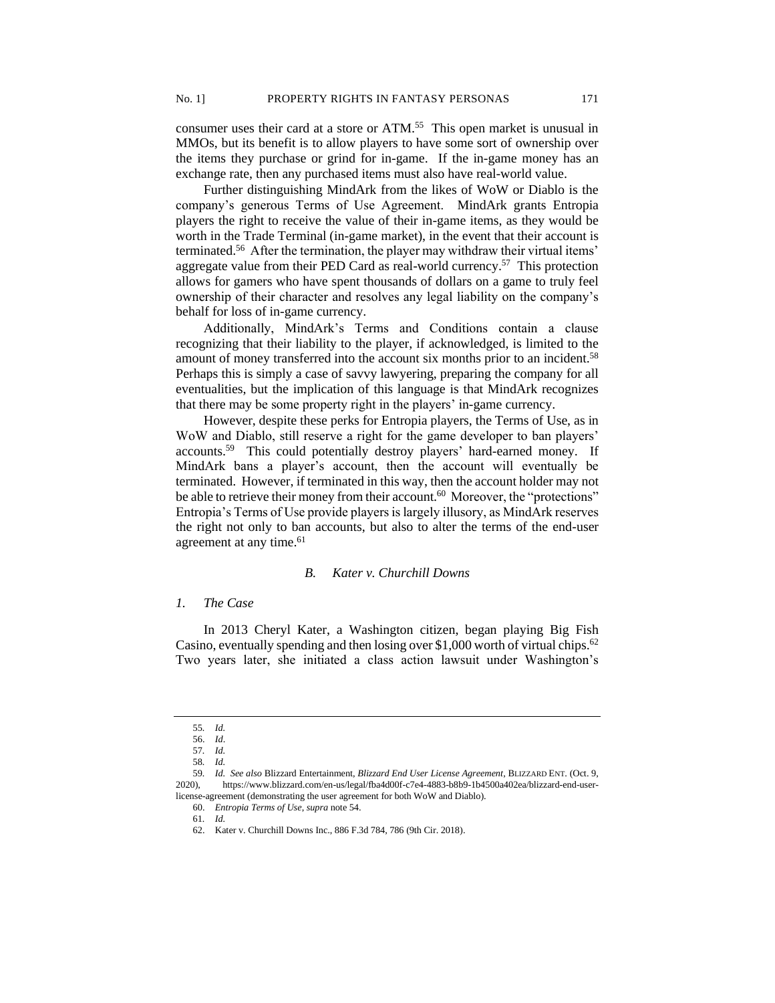consumer uses their card at a store or ATM.<sup>55</sup> This open market is unusual in MMOs, but its benefit is to allow players to have some sort of ownership over the items they purchase or grind for in-game. If the in-game money has an exchange rate, then any purchased items must also have real-world value.

Further distinguishing MindArk from the likes of WoW or Diablo is the company's generous Terms of Use Agreement. MindArk grants Entropia players the right to receive the value of their in-game items, as they would be worth in the Trade Terminal (in-game market), in the event that their account is terminated.<sup>56</sup> After the termination, the player may withdraw their virtual items' aggregate value from their PED Card as real-world currency.<sup>57</sup> This protection allows for gamers who have spent thousands of dollars on a game to truly feel ownership of their character and resolves any legal liability on the company's behalf for loss of in-game currency.

Additionally, MindArk's Terms and Conditions contain a clause recognizing that their liability to the player, if acknowledged, is limited to the amount of money transferred into the account six months prior to an incident.<sup>58</sup> Perhaps this is simply a case of savvy lawyering, preparing the company for all eventualities, but the implication of this language is that MindArk recognizes that there may be some property right in the players' in-game currency.

However, despite these perks for Entropia players, the Terms of Use, as in WoW and Diablo, still reserve a right for the game developer to ban players' accounts.<sup>59</sup> This could potentially destroy players' hard-earned money. If MindArk bans a player's account, then the account will eventually be terminated. However, if terminated in this way, then the account holder may not be able to retrieve their money from their account.<sup>60</sup> Moreover, the "protections" Entropia's Terms of Use provide players is largely illusory, as MindArk reserves the right not only to ban accounts, but also to alter the terms of the end-user agreement at any time.<sup>61</sup>

# *B. Kater v. Churchill Downs*

### *1. The Case*

In 2013 Cheryl Kater, a Washington citizen, began playing Big Fish Casino, eventually spending and then losing over \$1,000 worth of virtual chips.<sup>62</sup> Two years later, she initiated a class action lawsuit under Washington's

<sup>55</sup>*. Id.*

<sup>56.</sup> *Id*.

<sup>57</sup>*. Id.*

<sup>58</sup>*. Id.*

<sup>59</sup>*. Id. See also* Blizzard Entertainment, *Blizzard End User License Agreement*, BLIZZARD ENT. (Oct. 9, 2020), https://www.blizzard.com/en-us/legal/fba4d00f-c7e4-4883-b8b9-1b4500a402ea/blizzard-end-userlicense-agreement (demonstrating the user agreement for both WoW and Diablo).

<sup>60.</sup> *Entropia Terms of Use*, *supra* note 54.

<sup>61</sup>*. Id.*

<sup>62.</sup> Kater v. Churchill Downs Inc., 886 F.3d 784, 786 (9th Cir. 2018).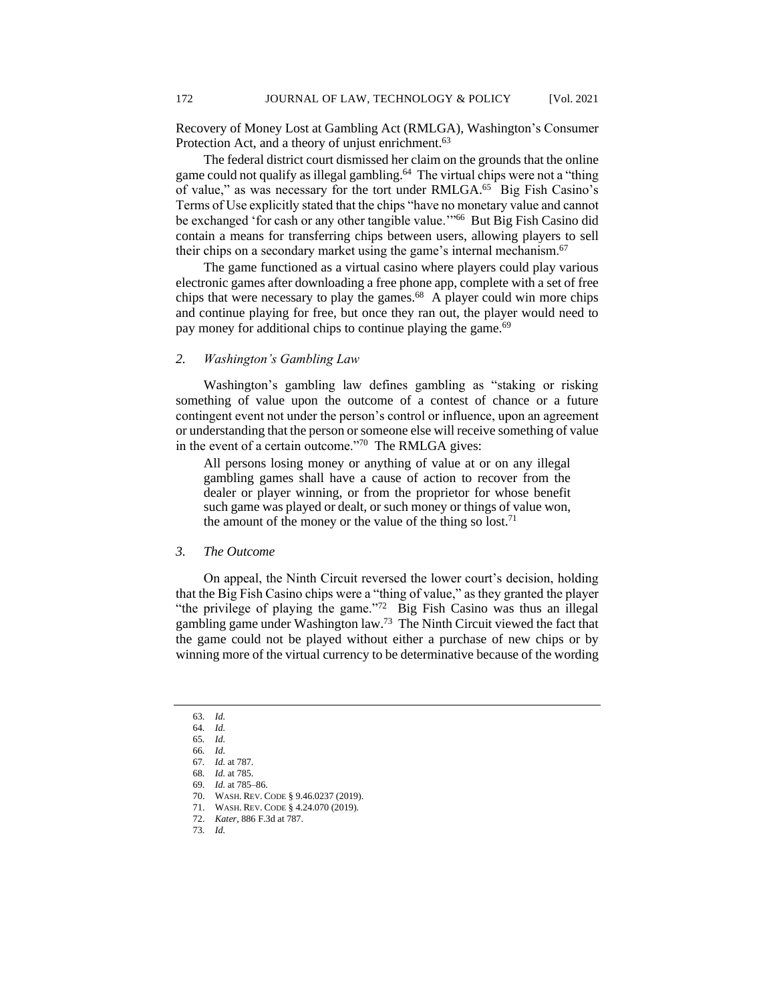Recovery of Money Lost at Gambling Act (RMLGA), Washington's Consumer Protection Act, and a theory of unjust enrichment.<sup>63</sup>

The federal district court dismissed her claim on the grounds that the online game could not qualify as illegal gambling.<sup>64</sup> The virtual chips were not a "thing of value," as was necessary for the tort under RMLGA.<sup>65</sup> Big Fish Casino's Terms of Use explicitly stated that the chips "have no monetary value and cannot be exchanged 'for cash or any other tangible value."<sup>66</sup> But Big Fish Casino did contain a means for transferring chips between users, allowing players to sell their chips on a secondary market using the game's internal mechanism.<sup>67</sup>

The game functioned as a virtual casino where players could play various electronic games after downloading a free phone app, complete with a set of free chips that were necessary to play the games.<sup>68</sup> A player could win more chips and continue playing for free, but once they ran out, the player would need to pay money for additional chips to continue playing the game.<sup>69</sup>

# *2. Washington's Gambling Law*

Washington's gambling law defines gambling as "staking or risking something of value upon the outcome of a contest of chance or a future contingent event not under the person's control or influence, upon an agreement or understanding that the person or someone else will receive something of value in the event of a certain outcome."<sup>70</sup> The RMLGA gives:

All persons losing money or anything of value at or on any illegal gambling games shall have a cause of action to recover from the dealer or player winning, or from the proprietor for whose benefit such game was played or dealt, or such money or things of value won, the amount of the money or the value of the thing so lost.<sup>71</sup>

## *3. The Outcome*

On appeal, the Ninth Circuit reversed the lower court's decision, holding that the Big Fish Casino chips were a "thing of value," as they granted the player "the privilege of playing the game." $72$  Big Fish Casino was thus an illegal gambling game under Washington law.<sup>73</sup> The Ninth Circuit viewed the fact that the game could not be played without either a purchase of new chips or by winning more of the virtual currency to be determinative because of the wording

<sup>63</sup>*. Id.*

<sup>64</sup>*. Id.* 65*. Id.*

<sup>66</sup>*. Id.*

<sup>67</sup>*. Id.* at 787.

<sup>68</sup>*. Id.* at 785.

<sup>69</sup>*. Id.* at 785–86.

<sup>70.</sup> WASH. REV. CODE § 9.46.0237 (2019).

<sup>71.</sup> WASH. REV. CODE § 4.24.070 (2019).

<sup>72.</sup> *Kater*, 886 F.3d at 787.

<sup>73</sup>*. Id.*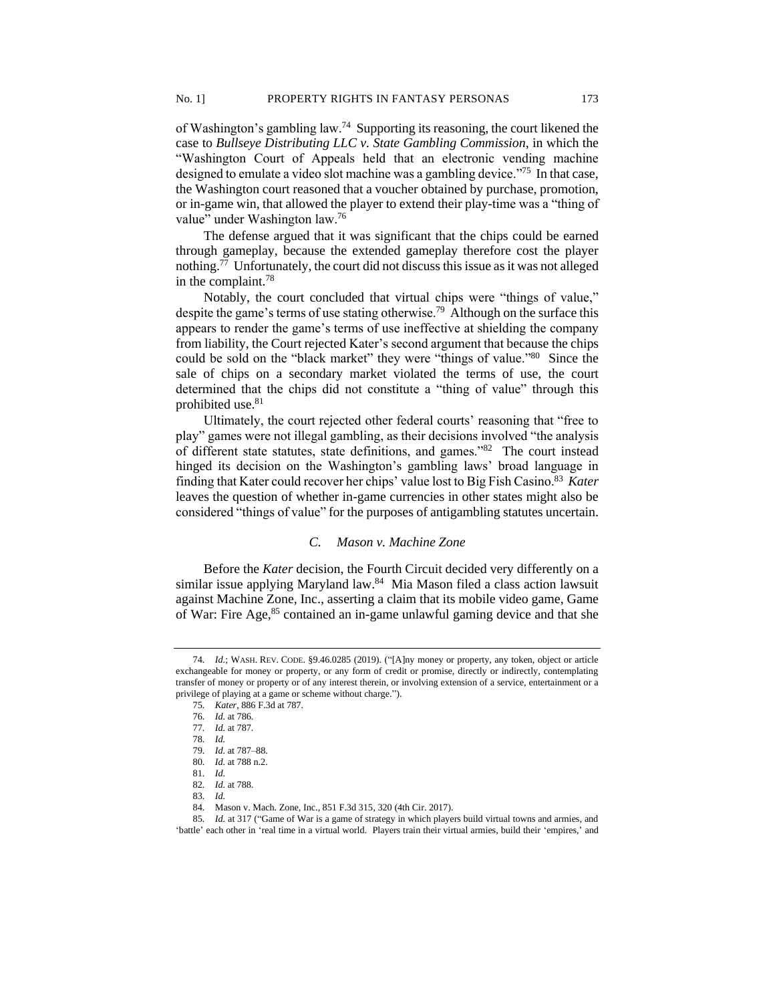of Washington's gambling law.<sup>74</sup> Supporting its reasoning, the court likened the case to *Bullseye Distributing LLC v. State Gambling Commission*, in which the "Washington Court of Appeals held that an electronic vending machine designed to emulate a video slot machine was a gambling device."<sup>75</sup> In that case, the Washington court reasoned that a voucher obtained by purchase, promotion, or in-game win, that allowed the player to extend their play-time was a "thing of value" under Washington law.<sup>76</sup>

The defense argued that it was significant that the chips could be earned through gameplay, because the extended gameplay therefore cost the player nothing.<sup>77</sup> Unfortunately, the court did not discuss this issue as it was not alleged in the complaint.<sup>78</sup>

Notably, the court concluded that virtual chips were "things of value," despite the game's terms of use stating otherwise.<sup>79</sup> Although on the surface this appears to render the game's terms of use ineffective at shielding the company from liability, the Court rejected Kater's second argument that because the chips could be sold on the "black market" they were "things of value."<sup>80</sup> Since the sale of chips on a secondary market violated the terms of use, the court determined that the chips did not constitute a "thing of value" through this prohibited use.<sup>81</sup>

Ultimately, the court rejected other federal courts' reasoning that "free to play" games were not illegal gambling, as their decisions involved "the analysis of different state statutes, state definitions, and games."<sup>82</sup> The court instead hinged its decision on the Washington's gambling laws' broad language in finding that Kater could recover her chips' value lost to Big Fish Casino.<sup>83</sup> Kater leaves the question of whether in-game currencies in other states might also be considered "things of value" for the purposes of antigambling statutes uncertain.

# *C. Mason v. Machine Zone*

Before the *Kater* decision, the Fourth Circuit decided very differently on a similar issue applying Maryland law.<sup>84</sup> Mia Mason filed a class action lawsuit against Machine Zone, Inc., asserting a claim that its mobile video game, Game of War: Fire Age,<sup>85</sup> contained an in-game unlawful gaming device and that she

<sup>74</sup>*. Id.*; WASH. REV. CODE. §9.46.0285 (2019). ("[A]ny money or property, any token, object or article exchangeable for money or property, or any form of credit or promise, directly or indirectly, contemplating transfer of money or property or of any interest therein, or involving extension of a service, entertainment or a privilege of playing at a game or scheme without charge.").

<sup>75</sup>*. Kater*, 886 F.3d at 787.

<sup>76</sup>*. Id.* at 786.

<sup>77</sup>*. Id.* at 787.

<sup>78</sup>*. Id.*

<sup>79</sup>*. Id.* at 787–88.

<sup>80</sup>*. Id.* at 788 n.2.

<sup>81</sup>*. Id.*

<sup>82</sup>*. Id.* at 788.

<sup>83</sup>*. Id.*

<sup>84</sup>*.* Mason v. Mach. Zone, Inc., 851 F.3d 315, 320 (4th Cir. 2017).

<sup>85</sup>*. Id.* at 317 ("Game of War is a game of strategy in which players build virtual towns and armies, and 'battle' each other in 'real time in a virtual world. Players train their virtual armies, build their 'empires,' and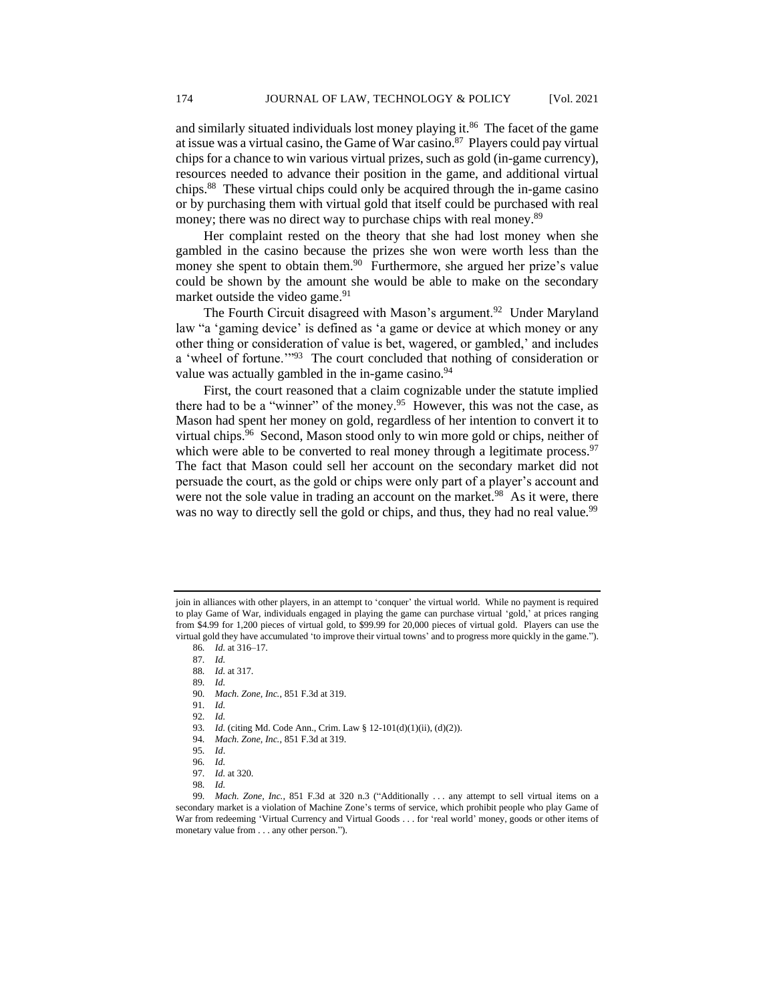and similarly situated individuals lost money playing it.<sup>86</sup> The facet of the game at issue was a virtual casino, the Game of War casino.<sup>87</sup> Players could pay virtual chips for a chance to win various virtual prizes, such as gold (in-game currency), resources needed to advance their position in the game, and additional virtual chips.<sup>88</sup> These virtual chips could only be acquired through the in-game casino or by purchasing them with virtual gold that itself could be purchased with real money; there was no direct way to purchase chips with real money.<sup>89</sup>

Her complaint rested on the theory that she had lost money when she gambled in the casino because the prizes she won were worth less than the money she spent to obtain them.<sup>90</sup> Furthermore, she argued her prize's value could be shown by the amount she would be able to make on the secondary market outside the video game.<sup>91</sup>

The Fourth Circuit disagreed with Mason's argument.<sup>92</sup> Under Maryland law "a 'gaming device' is defined as 'a game or device at which money or any other thing or consideration of value is bet, wagered, or gambled,' and includes a 'wheel of fortune.'"<sup>93</sup> The court concluded that nothing of consideration or value was actually gambled in the in-game casino.<sup>94</sup>

First, the court reasoned that a claim cognizable under the statute implied there had to be a "winner" of the money.<sup>95</sup> However, this was not the case, as Mason had spent her money on gold, regardless of her intention to convert it to virtual chips.<sup>96</sup> Second, Mason stood only to win more gold or chips, neither of which were able to be converted to real money through a legitimate process.<sup>97</sup> The fact that Mason could sell her account on the secondary market did not persuade the court, as the gold or chips were only part of a player's account and were not the sole value in trading an account on the market.<sup>98</sup> As it were, there was no way to directly sell the gold or chips, and thus, they had no real value.<sup>99</sup>

94*. Mach. Zone, Inc.*, 851 F.3d at 319.

join in alliances with other players, in an attempt to 'conquer' the virtual world. While no payment is required to play Game of War, individuals engaged in playing the game can purchase virtual 'gold,' at prices ranging from \$4.99 for 1,200 pieces of virtual gold, to \$99.99 for 20,000 pieces of virtual gold. Players can use the virtual gold they have accumulated 'to improve their virtual towns' and to progress more quickly in the game.").

<sup>86</sup>*. Id.* at 316–17.

<sup>87</sup>*. Id.*

<sup>88</sup>*. Id.* at 317.

<sup>89</sup>*. Id.*

<sup>90</sup>*. Mach. Zone, Inc.*, 851 F.3d at 319.

<sup>91</sup>*. Id.*

<sup>92</sup>*. Id.*

<sup>93</sup>*. Id.* (citing Md. Code Ann., Crim. Law § 12-101(d)(1)(ii), (d)(2)).

<sup>95</sup>*. Id*.

<sup>96</sup>*. Id.*

<sup>97</sup>*. Id.* at 320.

<sup>98</sup>*. Id.*

<sup>99</sup>*. Mach. Zone, Inc.*, 851 F.3d at 320 n.3 ("Additionally . . . any attempt to sell virtual items on a secondary market is a violation of Machine Zone's terms of service, which prohibit people who play Game of War from redeeming 'Virtual Currency and Virtual Goods . . . for 'real world' money, goods or other items of monetary value from . . . any other person.").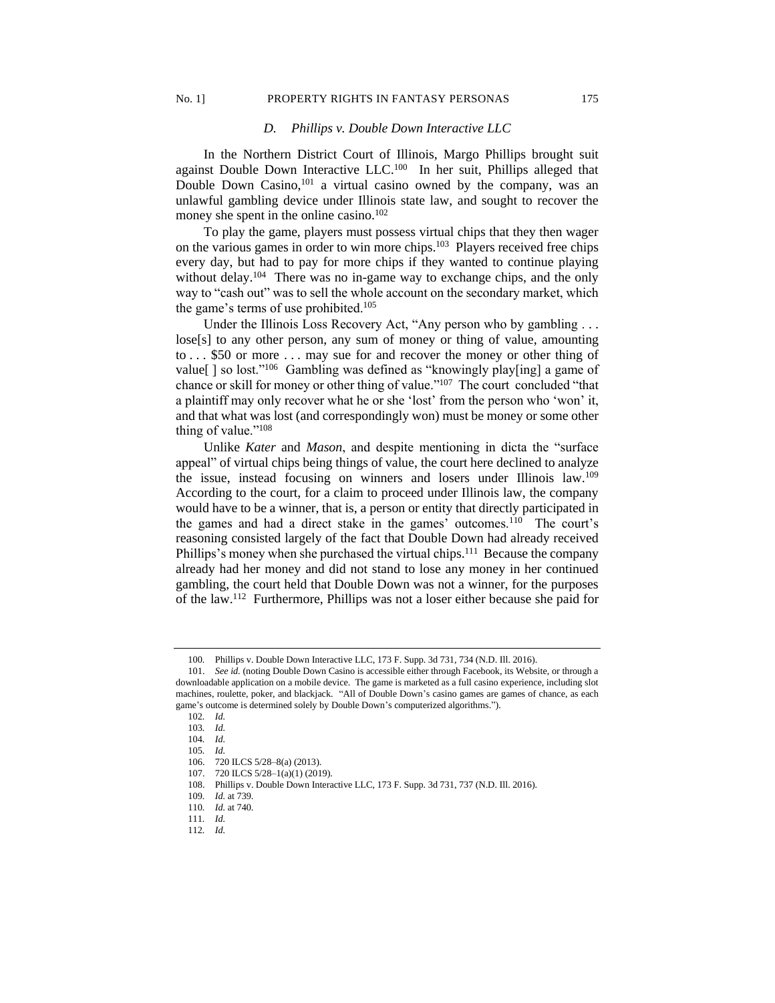# No. 1] PROPERTY RIGHTS IN FANTASY PERSONAS 175

### *D. Phillips v. Double Down Interactive LLC*

In the Northern District Court of Illinois, Margo Phillips brought suit against Double Down Interactive LLC.<sup>100</sup> In her suit, Phillips alleged that Double Down Casino,<sup>101</sup> a virtual casino owned by the company, was an unlawful gambling device under Illinois state law, and sought to recover the money she spent in the online casino.<sup>102</sup>

To play the game, players must possess virtual chips that they then wager on the various games in order to win more chips.<sup>103</sup> Players received free chips every day, but had to pay for more chips if they wanted to continue playing without delay.<sup>104</sup> There was no in-game way to exchange chips, and the only way to "cash out" was to sell the whole account on the secondary market, which the game's terms of use prohibited. $105$ 

Under the Illinois Loss Recovery Act, "Any person who by gambling . . . lose[s] to any other person, any sum of money or thing of value, amounting to . . . \$50 or more . . . may sue for and recover the money or other thing of value[] so lost."<sup>106</sup> Gambling was defined as "knowingly play[ing] a game of chance or skill for money or other thing of value."<sup>107</sup> The court concluded "that a plaintiff may only recover what he or she 'lost' from the person who 'won' it, and that what was lost (and correspondingly won) must be money or some other thing of value."<sup>108</sup>

Unlike *Kater* and *Mason*, and despite mentioning in dicta the "surface appeal" of virtual chips being things of value, the court here declined to analyze the issue, instead focusing on winners and losers under Illinois law.<sup>109</sup> According to the court, for a claim to proceed under Illinois law, the company would have to be a winner, that is, a person or entity that directly participated in the games and had a direct stake in the games' outcomes.<sup>110</sup> The court's reasoning consisted largely of the fact that Double Down had already received Phillips's money when she purchased the virtual chips.<sup>111</sup> Because the company already had her money and did not stand to lose any money in her continued gambling, the court held that Double Down was not a winner, for the purposes of the law.<sup>112</sup> Furthermore, Phillips was not a loser either because she paid for

<sup>100</sup>*.* Phillips v. Double Down Interactive LLC, 173 F. Supp. 3d 731, 734 (N.D. Ill. 2016).

<sup>101.</sup> *See id.* (noting Double Down Casino is accessible either through Facebook, its Website, or through a downloadable application on a mobile device. The game is marketed as a full casino experience, including slot machines, roulette, poker, and blackjack. "All of Double Down's casino games are games of chance, as each game's outcome is determined solely by Double Down's computerized algorithms.").

<sup>102</sup>*. Id.*

<sup>103</sup>*. Id.*

<sup>104</sup>*. Id.*

<sup>105</sup>*. Id.*

<sup>106.</sup> 720 ILCS 5/28–8(a) (2013).

<sup>107.</sup> 720 ILCS 5/28–1(a)(1) (2019).

<sup>108.</sup> Phillips v. Double Down Interactive LLC, 173 F. Supp. 3d 731, 737 (N.D. Ill. 2016).

<sup>109</sup>*. Id.* at 739.

<sup>110</sup>*. Id.* at 740.

<sup>111</sup>*. Id.*

<sup>112</sup>*. Id.*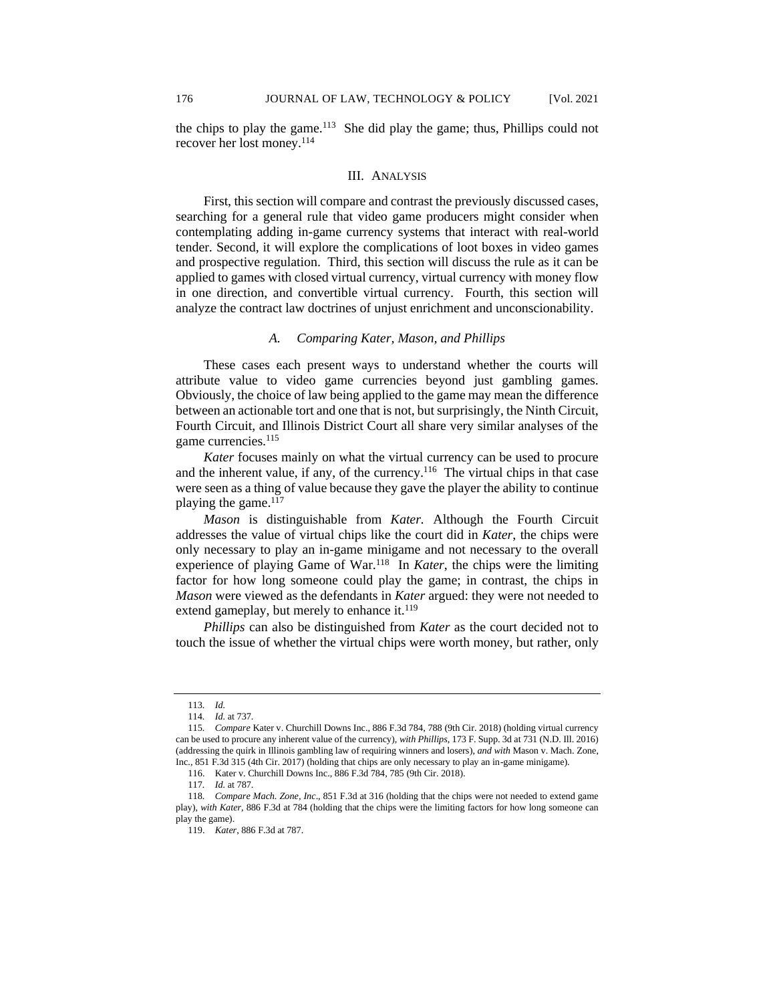the chips to play the game.<sup>113</sup> She did play the game; thus, Phillips could not recover her lost money.<sup>114</sup>

#### III. ANALYSIS

First, this section will compare and contrast the previously discussed cases, searching for a general rule that video game producers might consider when contemplating adding in-game currency systems that interact with real-world tender. Second, it will explore the complications of loot boxes in video games and prospective regulation. Third, this section will discuss the rule as it can be applied to games with closed virtual currency, virtual currency with money flow in one direction, and convertible virtual currency. Fourth, this section will analyze the contract law doctrines of unjust enrichment and unconscionability.

## *A. Comparing Kater, Mason, and Phillips*

These cases each present ways to understand whether the courts will attribute value to video game currencies beyond just gambling games. Obviously, the choice of law being applied to the game may mean the difference between an actionable tort and one that is not, but surprisingly, the Ninth Circuit, Fourth Circuit, and Illinois District Court all share very similar analyses of the game currencies.<sup>115</sup>

*Kater* focuses mainly on what the virtual currency can be used to procure and the inherent value, if any, of the currency.<sup>116</sup> The virtual chips in that case were seen as a thing of value because they gave the player the ability to continue playing the game. $117$ 

*Mason* is distinguishable from *Kater.* Although the Fourth Circuit addresses the value of virtual chips like the court did in *Kater*, the chips were only necessary to play an in-game minigame and not necessary to the overall experience of playing Game of War.<sup>118</sup> In *Kater*, the chips were the limiting factor for how long someone could play the game; in contrast, the chips in *Mason* were viewed as the defendants in *Kater* argued: they were not needed to extend gameplay, but merely to enhance it.<sup>119</sup>

*Phillips* can also be distinguished from *Kater* as the court decided not to touch the issue of whether the virtual chips were worth money, but rather, only

<sup>113</sup>*. Id.*

<sup>114</sup>*. Id.* at 737.

<sup>115</sup>*. Compare* Kater v. Churchill Downs Inc., 886 F.3d 784, 788 (9th Cir. 2018) (holding virtual currency can be used to procure any inherent value of the currency), *with Phillips*, 173 F. Supp. 3d at 731 (N.D. Ill. 2016) (addressing the quirk in Illinois gambling law of requiring winners and losers), *and with* Mason v. Mach. Zone, Inc., 851 F.3d 315 (4th Cir. 2017) (holding that chips are only necessary to play an in-game minigame).

<sup>116.</sup> Kater v. Churchill Downs Inc., 886 F.3d 784, 785 (9th Cir. 2018).

<sup>117</sup>*. Id.* at 787.

<sup>118</sup>*. Compare Mach. Zone, Inc*., 851 F.3d at 316 (holding that the chips were not needed to extend game play), *with Kater*, 886 F.3d at 784 (holding that the chips were the limiting factors for how long someone can play the game).

<sup>119.</sup> *Kater*, 886 F.3d at 787.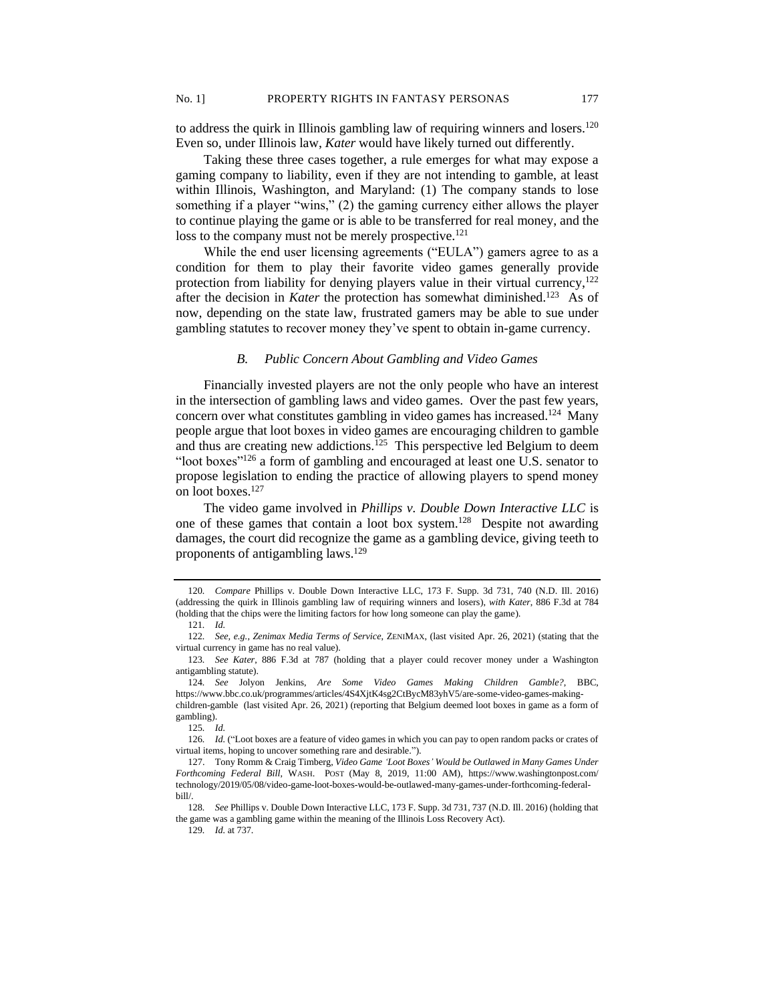to address the quirk in Illinois gambling law of requiring winners and losers.<sup>120</sup> Even so, under Illinois law, *Kater* would have likely turned out differently.

Taking these three cases together, a rule emerges for what may expose a gaming company to liability, even if they are not intending to gamble, at least within Illinois, Washington, and Maryland: (1) The company stands to lose something if a player "wins," (2) the gaming currency either allows the player to continue playing the game or is able to be transferred for real money, and the loss to the company must not be merely prospective.<sup>121</sup>

While the end user licensing agreements ("EULA") gamers agree to as a condition for them to play their favorite video games generally provide protection from liability for denying players value in their virtual currency, $122$ after the decision in *Kater* the protection has somewhat diminished.<sup>123</sup> As of now, depending on the state law, frustrated gamers may be able to sue under gambling statutes to recover money they've spent to obtain in-game currency.

# *B. Public Concern About Gambling and Video Games*

Financially invested players are not the only people who have an interest in the intersection of gambling laws and video games. Over the past few years, concern over what constitutes gambling in video games has increased.<sup>124</sup> Many people argue that loot boxes in video games are encouraging children to gamble and thus are creating new addictions.<sup>125</sup> This perspective led Belgium to deem "loot boxes"<sup>126</sup> a form of gambling and encouraged at least one U.S. senator to propose legislation to ending the practice of allowing players to spend money on loot boxes.<sup>127</sup>

The video game involved in *Phillips v. Double Down Interactive LLC* is one of these games that contain a loot box system.<sup>128</sup> Despite not awarding damages, the court did recognize the game as a gambling device, giving teeth to proponents of antigambling laws.<sup>129</sup>

<sup>120</sup>*. Compare* Phillips v. Double Down Interactive LLC, 173 F. Supp. 3d 731, 740 (N.D. Ill. 2016) (addressing the quirk in Illinois gambling law of requiring winners and losers), *with Kater*, 886 F.3d at 784 (holding that the chips were the limiting factors for how long someone can play the game).

<sup>121</sup>*. Id.*

<sup>122</sup>*. See, e.g.*, *Zenimax Media Terms of Service*, ZENIMAX, (last visited Apr. 26, 2021) (stating that the virtual currency in game has no real value).

<sup>123</sup>*. See Kater*, 886 F.3d at 787 (holding that a player could recover money under a Washington antigambling statute).

<sup>124</sup>*. See* Jolyon Jenkins, *Are Some Video Games Making Children Gamble?*, BBC, https://www.bbc.co.uk/programmes/articles/4S4XjtK4sg2CtBycM83yhV5/are-some-video-games-makingchildren-gamble (last visited Apr. 26, 2021) (reporting that Belgium deemed loot boxes in game as a form of gambling).

<sup>125</sup>*. Id.*

<sup>126</sup>*. Id.* ("Loot boxes are a feature of video games in which you can pay to open random packs or crates of virtual items, hoping to uncover something rare and desirable.").

<sup>127.</sup> Tony Romm & Craig Timberg, *Video Game 'Loot Boxes' Would be Outlawed in Many Games Under Forthcoming Federal Bill*, WASH. POST (May 8, 2019, 11:00 AM), https://www.washingtonpost.com/ technology/2019/05/08/video-game-loot-boxes-would-be-outlawed-many-games-under-forthcoming-federalbill/.

<sup>128</sup>*. See* Phillips v. Double Down Interactive LLC, 173 F. Supp. 3d 731, 737 (N.D. Ill. 2016) (holding that the game was a gambling game within the meaning of the Illinois Loss Recovery Act).

<sup>129</sup>*. Id.* at 737.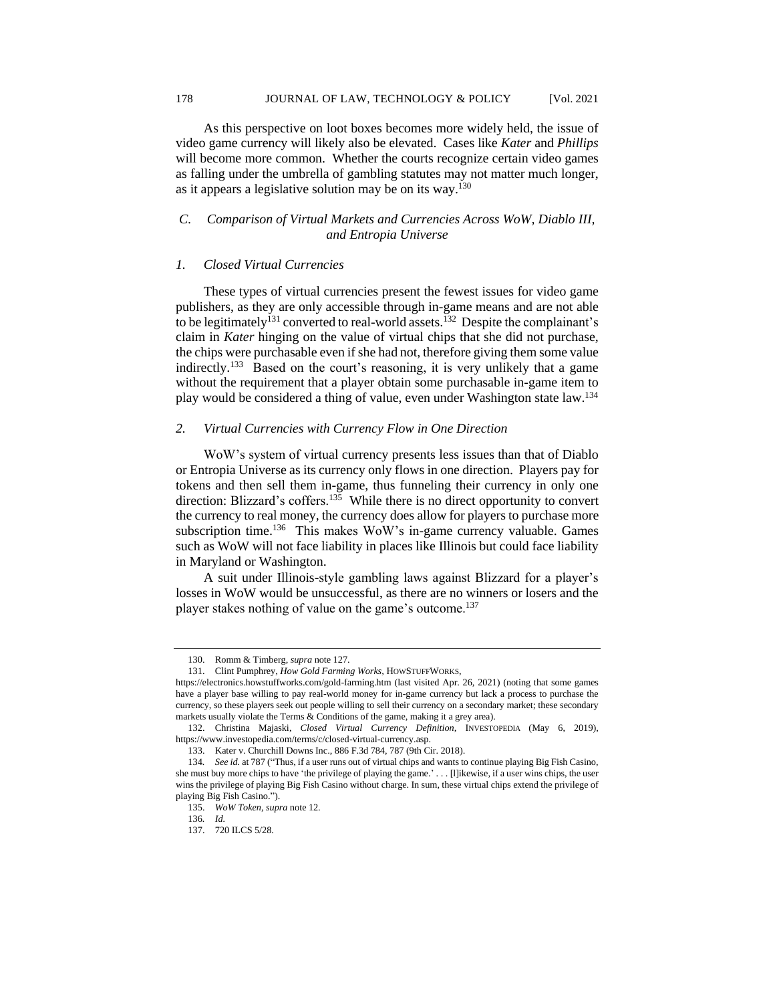As this perspective on loot boxes becomes more widely held, the issue of video game currency will likely also be elevated. Cases like *Kater* and *Phillips* will become more common. Whether the courts recognize certain video games as falling under the umbrella of gambling statutes may not matter much longer, as it appears a legislative solution may be on its way.<sup>130</sup>

# *C. Comparison of Virtual Markets and Currencies Across WoW, Diablo III, and Entropia Universe*

# *1. Closed Virtual Currencies*

These types of virtual currencies present the fewest issues for video game publishers, as they are only accessible through in-game means and are not able to be legitimately<sup>131</sup> converted to real-world assets.<sup>132</sup> Despite the complainant's claim in *Kater* hinging on the value of virtual chips that she did not purchase, the chips were purchasable even if she had not, therefore giving them some value indirectly.<sup>133</sup> Based on the court's reasoning, it is very unlikely that a game without the requirement that a player obtain some purchasable in-game item to play would be considered a thing of value, even under Washington state law.<sup>134</sup>

#### *2. Virtual Currencies with Currency Flow in One Direction*

WoW's system of virtual currency presents less issues than that of Diablo or Entropia Universe as its currency only flows in one direction. Players pay for tokens and then sell them in-game, thus funneling their currency in only one direction: Blizzard's coffers.<sup>135</sup> While there is no direct opportunity to convert the currency to real money, the currency does allow for players to purchase more subscription time.<sup>136</sup> This makes WoW's in-game currency valuable. Games such as WoW will not face liability in places like Illinois but could face liability in Maryland or Washington.

A suit under Illinois-style gambling laws against Blizzard for a player's losses in WoW would be unsuccessful, as there are no winners or losers and the player stakes nothing of value on the game's outcome.<sup>137</sup>

<sup>130.</sup> Romm & Timberg, *supra* note 127.

<sup>131.</sup> Clint Pumphrey, *How Gold Farming Works,* HOWSTUFFWORKS,

https://electronics.howstuffworks.com/gold-farming.htm (last visited Apr. 26, 2021) (noting that some games have a player base willing to pay real-world money for in-game currency but lack a process to purchase the currency, so these players seek out people willing to sell their currency on a secondary market; these secondary markets usually violate the Terms & Conditions of the game, making it a grey area).

<sup>132.</sup> Christina Majaski, *Closed Virtual Currency Definition,* INVESTOPEDIA (May 6, 2019), https://www.investopedia.com/terms/c/closed-virtual-currency.asp.

<sup>133.</sup> Kater v. Churchill Downs Inc., 886 F.3d 784, 787 (9th Cir. 2018).

<sup>134</sup>*. See id.* at 787 ("Thus, if a user runs out of virtual chips and wants to continue playing Big Fish Casino, she must buy more chips to have 'the privilege of playing the game.' . . . [l]ikewise, if a user wins chips, the user wins the privilege of playing Big Fish Casino without charge. In sum, these virtual chips extend the privilege of playing Big Fish Casino.").

<sup>135.</sup> *WoW Token*, *supra* note 12.

<sup>136</sup>*. Id.*

<sup>137.</sup> 720 ILCS 5/28.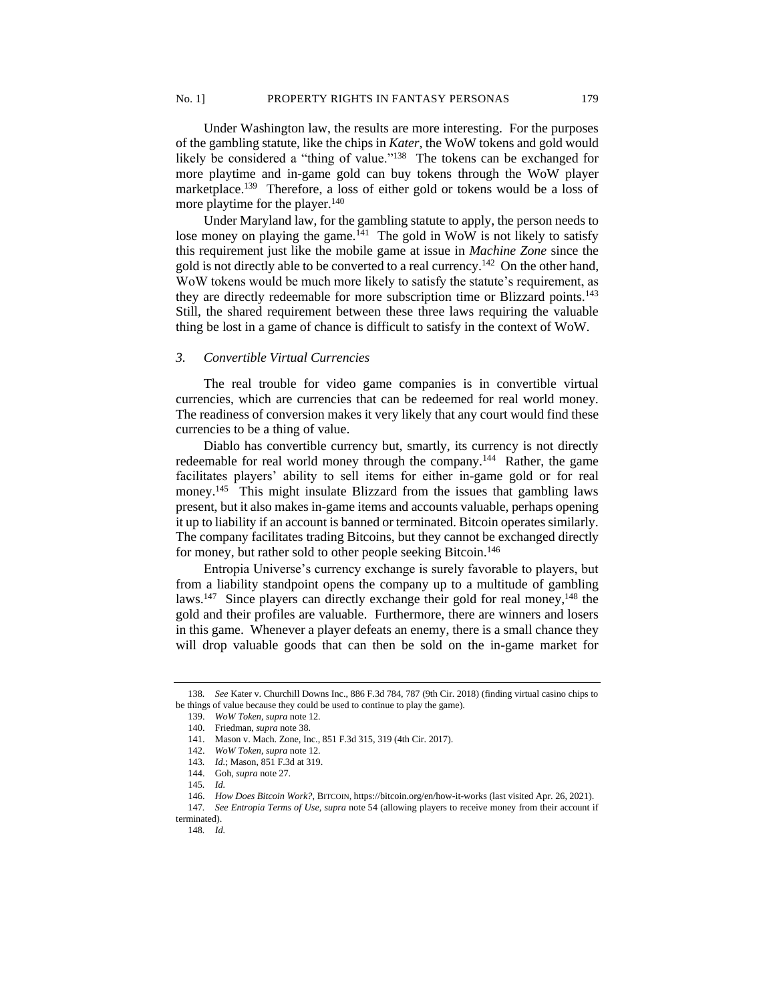Under Washington law, the results are more interesting. For the purposes of the gambling statute, like the chips in *Kater*, the WoW tokens and gold would likely be considered a "thing of value."<sup>138</sup> The tokens can be exchanged for more playtime and in-game gold can buy tokens through the WoW player marketplace.<sup>139</sup> Therefore, a loss of either gold or tokens would be a loss of more playtime for the player.<sup>140</sup>

Under Maryland law, for the gambling statute to apply, the person needs to lose money on playing the game. $141$  The gold in WoW is not likely to satisfy this requirement just like the mobile game at issue in *Machine Zone* since the gold is not directly able to be converted to a real currency.<sup>142</sup> On the other hand, WoW tokens would be much more likely to satisfy the statute's requirement, as they are directly redeemable for more subscription time or Blizzard points.<sup>143</sup> Still, the shared requirement between these three laws requiring the valuable thing be lost in a game of chance is difficult to satisfy in the context of WoW.

#### *3. Convertible Virtual Currencies*

The real trouble for video game companies is in convertible virtual currencies, which are currencies that can be redeemed for real world money. The readiness of conversion makes it very likely that any court would find these currencies to be a thing of value.

Diablo has convertible currency but, smartly, its currency is not directly redeemable for real world money through the company.<sup>144</sup> Rather, the game facilitates players' ability to sell items for either in-game gold or for real money.<sup>145</sup> This might insulate Blizzard from the issues that gambling laws present, but it also makes in-game items and accounts valuable, perhaps opening it up to liability if an account is banned or terminated. Bitcoin operates similarly. The company facilitates trading Bitcoins, but they cannot be exchanged directly for money, but rather sold to other people seeking Bitcoin.<sup>146</sup>

Entropia Universe's currency exchange is surely favorable to players, but from a liability standpoint opens the company up to a multitude of gambling laws.<sup>147</sup> Since players can directly exchange their gold for real money,<sup>148</sup> the gold and their profiles are valuable. Furthermore, there are winners and losers in this game. Whenever a player defeats an enemy, there is a small chance they will drop valuable goods that can then be sold on the in-game market for

<sup>138</sup>*. See* Kater v. Churchill Downs Inc., 886 F.3d 784, 787 (9th Cir. 2018) (finding virtual casino chips to be things of value because they could be used to continue to play the game).

<sup>139.</sup> *WoW Token*, *supra* note 12.

<sup>140.</sup> Friedman, *supra* note 38.

<sup>141.</sup> Mason v. Mach. Zone, Inc., 851 F.3d 315, 319 (4th Cir. 2017).

<sup>142.</sup> *WoW Token*, *supra* note 12.

<sup>143</sup>*. Id.*; Mason, 851 F.3d at 319.

<sup>144.</sup> Goh, *supra* note 27.

<sup>145</sup>*. Id.*

<sup>146.</sup> *How Does Bitcoin Work?*, BITCOIN, https://bitcoin.org/en/how-it-works (last visited Apr. 26, 2021).

<sup>147</sup>*. See Entropia Terms of Use*, *supra* note 54 (allowing players to receive money from their account if terminated).

<sup>148</sup>*. Id.*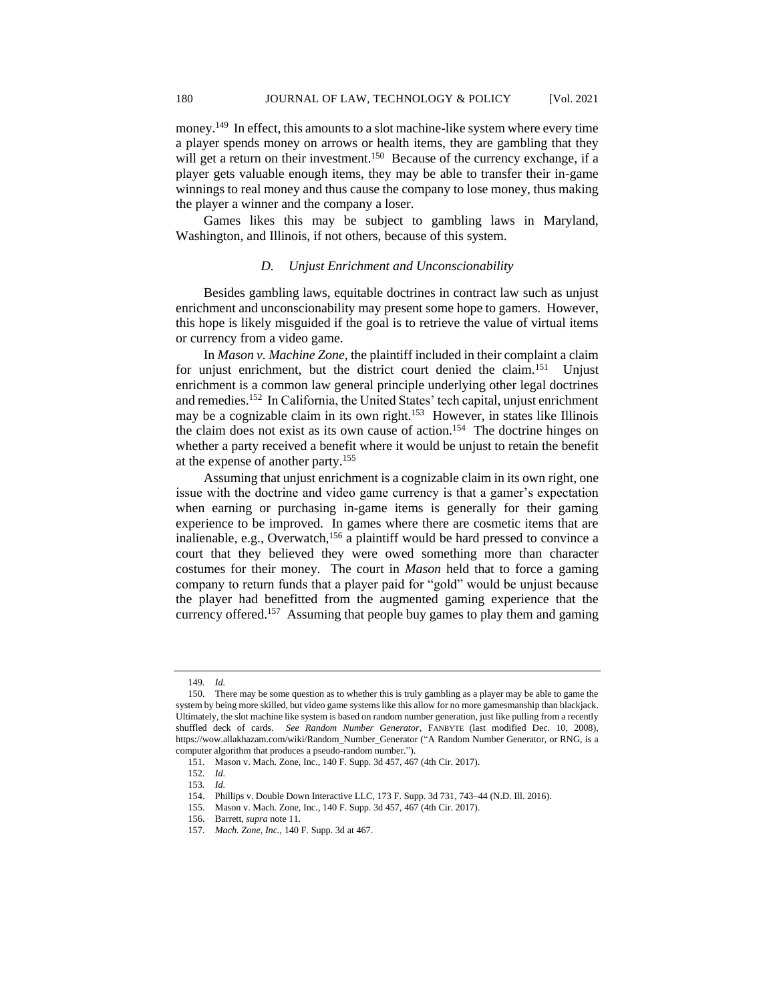money.<sup>149</sup> In effect, this amounts to a slot machine-like system where every time a player spends money on arrows or health items, they are gambling that they will get a return on their investment.<sup>150</sup> Because of the currency exchange, if a player gets valuable enough items, they may be able to transfer their in-game winnings to real money and thus cause the company to lose money, thus making the player a winner and the company a loser.

Games likes this may be subject to gambling laws in Maryland, Washington, and Illinois, if not others, because of this system.

#### *D. Unjust Enrichment and Unconscionability*

Besides gambling laws, equitable doctrines in contract law such as unjust enrichment and unconscionability may present some hope to gamers. However, this hope is likely misguided if the goal is to retrieve the value of virtual items or currency from a video game.

In *Mason v. Machine Zone*, the plaintiff included in their complaint a claim for unjust enrichment, but the district court denied the claim.<sup>151</sup> Uniust enrichment is a common law general principle underlying other legal doctrines and remedies.<sup>152</sup> In California, the United States' tech capital, unjust enrichment may be a cognizable claim in its own right.<sup>153</sup> However, in states like Illinois the claim does not exist as its own cause of action.<sup>154</sup> The doctrine hinges on whether a party received a benefit where it would be unjust to retain the benefit at the expense of another party.<sup>155</sup>

Assuming that unjust enrichment is a cognizable claim in its own right, one issue with the doctrine and video game currency is that a gamer's expectation when earning or purchasing in-game items is generally for their gaming experience to be improved. In games where there are cosmetic items that are inalienable, e.g., Overwatch,<sup>156</sup> a plaintiff would be hard pressed to convince a court that they believed they were owed something more than character costumes for their money. The court in *Mason* held that to force a gaming company to return funds that a player paid for "gold" would be unjust because the player had benefitted from the augmented gaming experience that the currency offered.<sup>157</sup> Assuming that people buy games to play them and gaming

<sup>149</sup>*. Id.*

<sup>150.</sup> There may be some question as to whether this is truly gambling as a player may be able to game the system by being more skilled, but video game systems like this allow for no more gamesmanship than blackjack. Ultimately, the slot machine like system is based on random number generation, just like pulling from a recently shuffled deck of cards. *See Random Number Generator*, FANBYTE (last modified Dec. 10, 2008), https://wow.allakhazam.com/wiki/Random\_Number\_Generator ("A Random Number Generator, or RNG, is a computer algorithm that produces a pseudo-random number.").

<sup>151.</sup> Mason v. Mach. Zone, Inc., 140 F. Supp. 3d 457, 467 (4th Cir. 2017).

<sup>152</sup>*. Id.*

<sup>153</sup>*. Id.*

<sup>154.</sup> Phillips v. Double Down Interactive LLC, 173 F. Supp. 3d 731, 743–44 (N.D. Ill. 2016).

<sup>155.</sup> Mason v. Mach. Zone, Inc*.*, 140 F. Supp. 3d 457, 467 (4th Cir. 2017).

<sup>156.</sup> Barrett, *supra* note 11.

<sup>157.</sup> *Mach. Zone, Inc.*, 140 F. Supp. 3d at 467.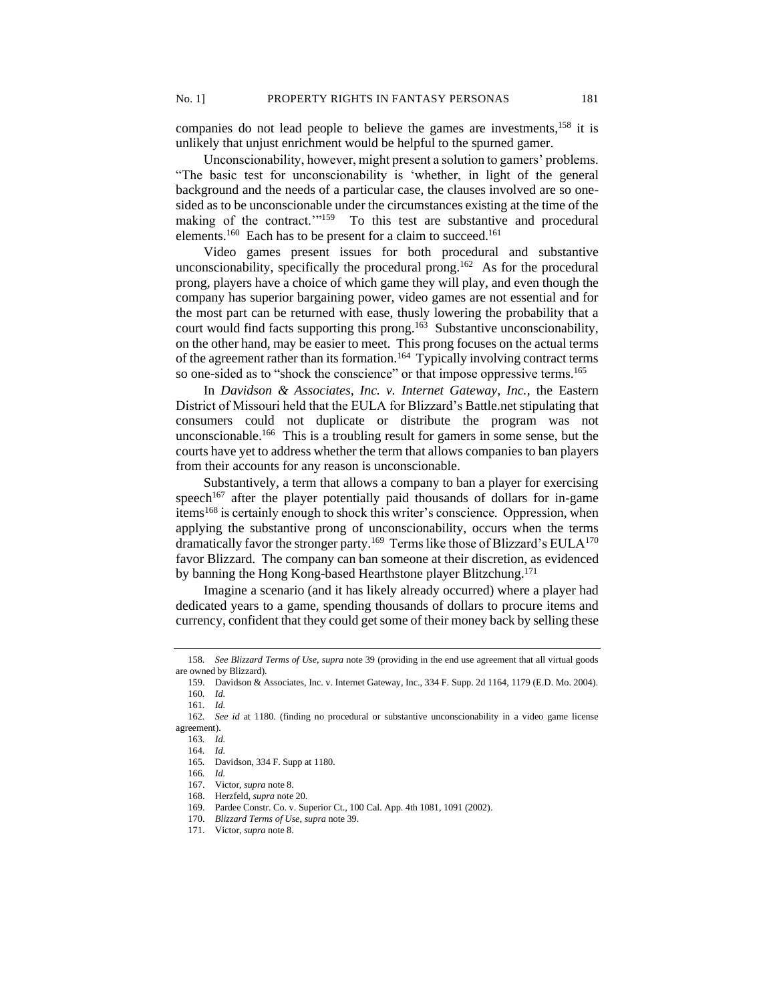companies do not lead people to believe the games are investments, <sup>158</sup> it is unlikely that unjust enrichment would be helpful to the spurned gamer.

Unconscionability, however, might present a solution to gamers' problems. "The basic test for unconscionability is 'whether, in light of the general background and the needs of a particular case, the clauses involved are so onesided as to be unconscionable under the circumstances existing at the time of the making of the contract."<sup>159</sup> To this test are substantive and procedural elements.<sup>160</sup> Each has to be present for a claim to succeed.<sup>161</sup>

Video games present issues for both procedural and substantive unconscionability, specifically the procedural prong.<sup>162</sup> As for the procedural prong, players have a choice of which game they will play, and even though the company has superior bargaining power, video games are not essential and for the most part can be returned with ease, thusly lowering the probability that a court would find facts supporting this prong.<sup>163</sup> Substantive unconscionability, on the other hand, may be easier to meet. This prong focuses on the actual terms of the agreement rather than its formation.<sup>164</sup> Typically involving contract terms so one-sided as to "shock the conscience" or that impose oppressive terms.<sup>165</sup>

In *Davidson & Associates, Inc. v. Internet Gateway, Inc.*, the Eastern District of Missouri held that the EULA for Blizzard's Battle.net stipulating that consumers could not duplicate or distribute the program was not unconscionable.<sup>166</sup> This is a troubling result for gamers in some sense, but the courts have yet to address whether the term that allows companies to ban players from their accounts for any reason is unconscionable.

Substantively, a term that allows a company to ban a player for exercising speech<sup>167</sup> after the player potentially paid thousands of dollars for in-game items<sup>168</sup> is certainly enough to shock this writer's conscience. Oppression, when applying the substantive prong of unconscionability, occurs when the terms dramatically favor the stronger party.<sup>169</sup> Terms like those of Blizzard's EULA<sup>170</sup> favor Blizzard. The company can ban someone at their discretion, as evidenced by banning the Hong Kong-based Hearthstone player Blitzchung.<sup>171</sup>

Imagine a scenario (and it has likely already occurred) where a player had dedicated years to a game, spending thousands of dollars to procure items and currency, confident that they could get some of their money back by selling these

<sup>158</sup>*. See Blizzard Terms of Use*, *supra* note 39 (providing in the end use agreement that all virtual goods are owned by Blizzard).

<sup>159.</sup> Davidson & Associates, Inc. v. Internet Gateway, Inc., 334 F. Supp. 2d 1164, 1179 (E.D. Mo. 2004). 160*. Id.*

<sup>161</sup>*. Id.*

<sup>162</sup>*. See id* at 1180*.* (finding no procedural or substantive unconscionability in a video game license agreement).

<sup>163</sup>*. Id.*

<sup>164</sup>*. Id.* 165*.* Davidson, 334 F. Supp at 1180*.*

<sup>166</sup>*. Id.*

<sup>167.</sup> Victor, *supra* note 8. 168. Herzfeld, *supra* note 20.

<sup>169.</sup> Pardee Constr. Co. v. Superior Ct., 100 Cal. App. 4th 1081, 1091 (2002).

<sup>170.</sup> *Blizzard Terms of Use*, *supra* note 39.

<sup>171.</sup> Victor, *supra* note 8.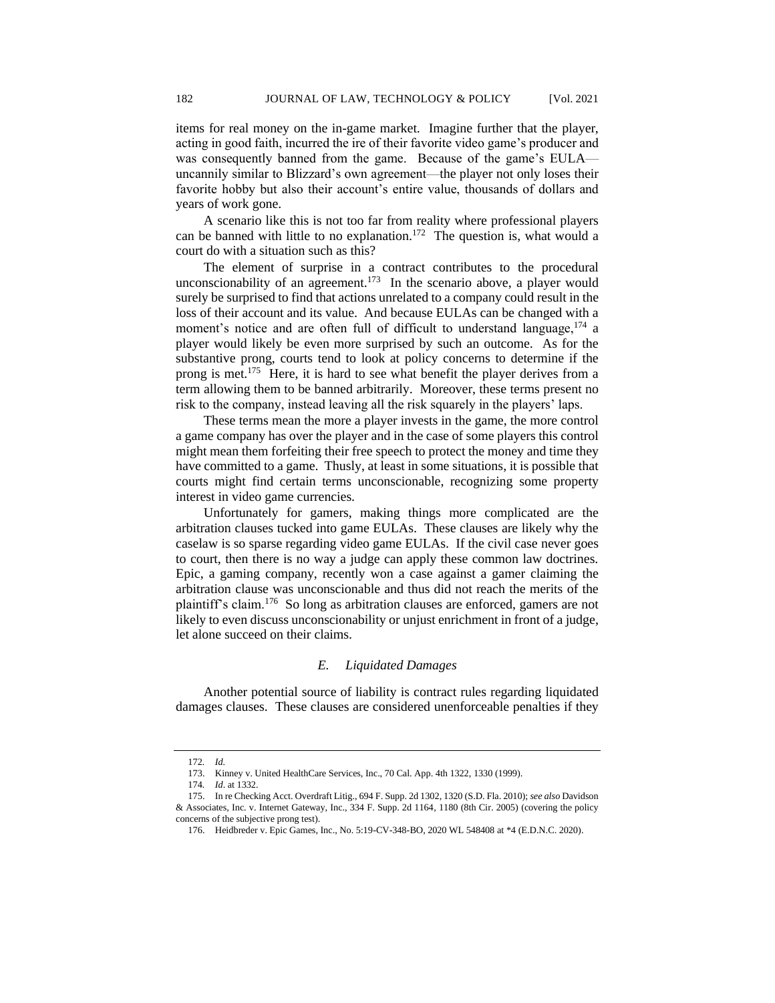items for real money on the in-game market. Imagine further that the player, acting in good faith, incurred the ire of their favorite video game's producer and was consequently banned from the game. Because of the game's EULA uncannily similar to Blizzard's own agreement—the player not only loses their favorite hobby but also their account's entire value, thousands of dollars and years of work gone.

A scenario like this is not too far from reality where professional players can be banned with little to no explanation.<sup>172</sup> The question is, what would a court do with a situation such as this?

The element of surprise in a contract contributes to the procedural unconscionability of an agreement.<sup>173</sup> In the scenario above, a player would surely be surprised to find that actions unrelated to a company could result in the loss of their account and its value. And because EULAs can be changed with a moment's notice and are often full of difficult to understand language,<sup>174</sup> a player would likely be even more surprised by such an outcome. As for the substantive prong, courts tend to look at policy concerns to determine if the prong is met.<sup>175</sup> Here, it is hard to see what benefit the player derives from a term allowing them to be banned arbitrarily. Moreover, these terms present no risk to the company, instead leaving all the risk squarely in the players' laps.

These terms mean the more a player invests in the game, the more control a game company has over the player and in the case of some players this control might mean them forfeiting their free speech to protect the money and time they have committed to a game. Thusly, at least in some situations, it is possible that courts might find certain terms unconscionable, recognizing some property interest in video game currencies.

Unfortunately for gamers, making things more complicated are the arbitration clauses tucked into game EULAs. These clauses are likely why the caselaw is so sparse regarding video game EULAs. If the civil case never goes to court, then there is no way a judge can apply these common law doctrines. Epic, a gaming company, recently won a case against a gamer claiming the arbitration clause was unconscionable and thus did not reach the merits of the plaintiff's claim.<sup>176</sup> So long as arbitration clauses are enforced, gamers are not likely to even discuss unconscionability or unjust enrichment in front of a judge, let alone succeed on their claims.

## *E. Liquidated Damages*

Another potential source of liability is contract rules regarding liquidated damages clauses. These clauses are considered unenforceable penalties if they

<sup>172</sup>*. Id.*

<sup>173.</sup> Kinney v. United HealthCare Services, Inc., 70 Cal. App. 4th 1322, 1330 (1999).

<sup>174</sup>*. Id*. at 1332.

<sup>175.</sup> In re Checking Acct. Overdraft Litig., 694 F. Supp. 2d 1302, 1320 (S.D. Fla. 2010); *see also* Davidson & Associates, Inc. v. Internet Gateway, Inc., 334 F. Supp. 2d 1164, 1180 (8th Cir. 2005) (covering the policy concerns of the subjective prong test).

<sup>176.</sup> Heidbreder v. Epic Games, Inc., No. 5:19-CV-348-BO, 2020 WL 548408 at \*4 (E.D.N.C. 2020).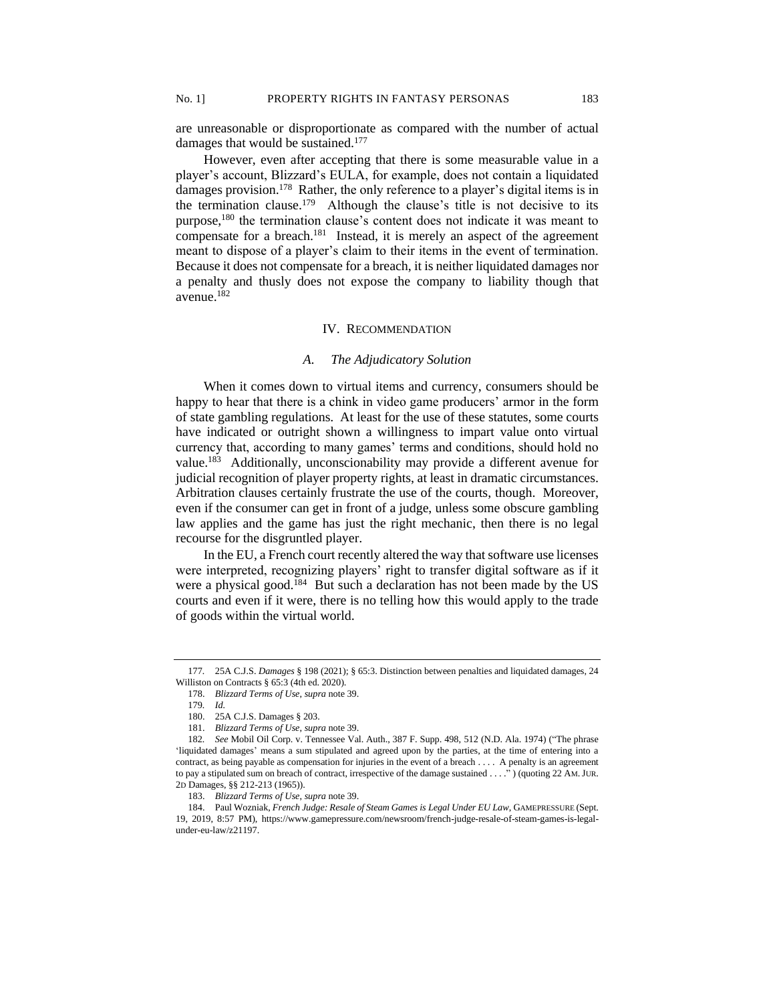are unreasonable or disproportionate as compared with the number of actual damages that would be sustained.<sup>177</sup>

However, even after accepting that there is some measurable value in a player's account, Blizzard's EULA, for example, does not contain a liquidated damages provision.<sup>178</sup> Rather, the only reference to a player's digital items is in the termination clause.<sup>179</sup> Although the clause's title is not decisive to its purpose,<sup>180</sup> the termination clause's content does not indicate it was meant to compensate for a breach.<sup>181</sup> Instead, it is merely an aspect of the agreement meant to dispose of a player's claim to their items in the event of termination. Because it does not compensate for a breach, it is neither liquidated damages nor a penalty and thusly does not expose the company to liability though that avenue.<sup>182</sup>

## IV. RECOMMENDATION

## *A. The Adjudicatory Solution*

When it comes down to virtual items and currency, consumers should be happy to hear that there is a chink in video game producers' armor in the form of state gambling regulations. At least for the use of these statutes, some courts have indicated or outright shown a willingness to impart value onto virtual currency that, according to many games' terms and conditions, should hold no value.<sup>183</sup> Additionally, unconscionability may provide a different avenue for judicial recognition of player property rights, at least in dramatic circumstances. Arbitration clauses certainly frustrate the use of the courts, though. Moreover, even if the consumer can get in front of a judge, unless some obscure gambling law applies and the game has just the right mechanic, then there is no legal recourse for the disgruntled player.

In the EU, a French court recently altered the way that software use licenses were interpreted, recognizing players' right to transfer digital software as if it were a physical good.<sup>184</sup> But such a declaration has not been made by the US courts and even if it were, there is no telling how this would apply to the trade of goods within the virtual world.

<sup>177</sup>*.* 25A C.J.S. *Damages* § 198 (2021); § 65:3. Distinction between penalties and liquidated damages, 24 Williston on Contracts § 65:3 (4th ed. 2020).

<sup>178.</sup> *Blizzard Terms of Use*, *supra* note 39.

<sup>179</sup>*. Id.*

<sup>180.</sup> 25A C.J.S. Damages § 203.

<sup>181.</sup> *Blizzard Terms of Use*, *supra* note 39.

<sup>182</sup>*. See* Mobil Oil Corp. v. Tennessee Val. Auth., 387 F. Supp. 498, 512 (N.D. Ala. 1974) ("The phrase 'liquidated damages' means a sum stipulated and agreed upon by the parties, at the time of entering into a contract, as being payable as compensation for injuries in the event of a breach . . . . A penalty is an agreement to pay a stipulated sum on breach of contract, irrespective of the damage sustained . . . ." ) (quoting 22 AM.JUR. 2D Damages, §§ 212-213 (1965)).

<sup>183.</sup> *Blizzard Terms of Use*, *supra* note 39.

<sup>184.</sup> Paul Wozniak, *French Judge: Resale of Steam Games is Legal Under EU Law*, GAMEPRESSURE (Sept. 19, 2019, 8:57 PM), https://www.gamepressure.com/newsroom/french-judge-resale-of-steam-games-is-legalunder-eu-law/z21197.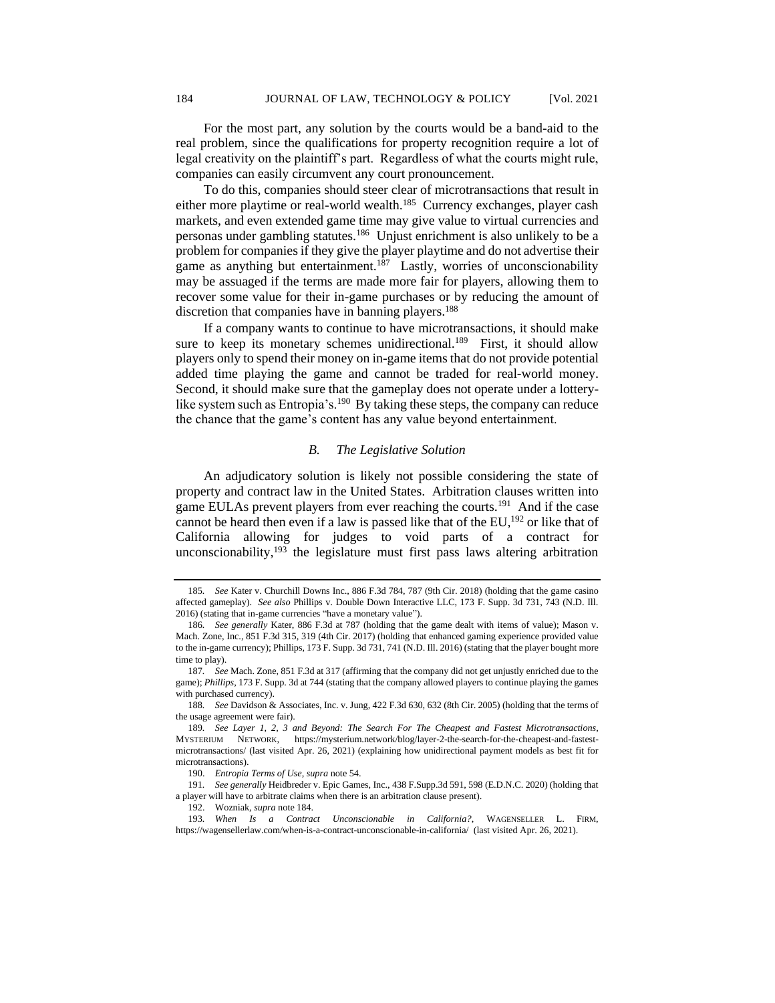For the most part, any solution by the courts would be a band-aid to the real problem, since the qualifications for property recognition require a lot of legal creativity on the plaintiff's part. Regardless of what the courts might rule, companies can easily circumvent any court pronouncement.

To do this, companies should steer clear of microtransactions that result in either more playtime or real-world wealth.<sup>185</sup> Currency exchanges, player cash markets, and even extended game time may give value to virtual currencies and personas under gambling statutes.<sup>186</sup> Unjust enrichment is also unlikely to be a problem for companies if they give the player playtime and do not advertise their game as anything but entertainment.<sup>187</sup> Lastly, worries of unconscionability may be assuaged if the terms are made more fair for players, allowing them to recover some value for their in-game purchases or by reducing the amount of discretion that companies have in banning players.<sup>188</sup>

If a company wants to continue to have microtransactions, it should make sure to keep its monetary schemes unidirectional.<sup>189</sup> First, it should allow players only to spend their money on in-game items that do not provide potential added time playing the game and cannot be traded for real-world money. Second, it should make sure that the gameplay does not operate under a lotterylike system such as Entropia's.<sup>190</sup> By taking these steps, the company can reduce the chance that the game's content has any value beyond entertainment.

## *B. The Legislative Solution*

An adjudicatory solution is likely not possible considering the state of property and contract law in the United States. Arbitration clauses written into game EULAs prevent players from ever reaching the courts.<sup>191</sup> And if the case cannot be heard then even if a law is passed like that of the EU, $^{192}$  or like that of California allowing for judges to void parts of a contract for unconscionability,  $193$  the legislature must first pass laws altering arbitration

<sup>185</sup>*. See* Kater v. Churchill Downs Inc., 886 F.3d 784, 787 (9th Cir. 2018) (holding that the game casino affected gameplay). *See also* Phillips v. Double Down Interactive LLC, 173 F. Supp. 3d 731, 743 (N.D. Ill. 2016) (stating that in-game currencies "have a monetary value").

<sup>186</sup>*. See generally* Kater, 886 F.3d at 787 (holding that the game dealt with items of value); Mason v. Mach. Zone, Inc., 851 F.3d 315, 319 (4th Cir. 2017) (holding that enhanced gaming experience provided value to the in-game currency); Phillips, 173 F. Supp. 3d 731, 741 (N.D. Ill. 2016) (stating that the player bought more time to play).

<sup>187</sup>*. See* Mach. Zone, 851 F.3d at 317 (affirming that the company did not get unjustly enriched due to the game); *Phillips*, 173 F. Supp. 3d at 744 (stating that the company allowed players to continue playing the games with purchased currency).

<sup>188</sup>*. See* Davidson & Associates, Inc. v. Jung, 422 F.3d 630, 632 (8th Cir. 2005) (holding that the terms of the usage agreement were fair).

<sup>189</sup>*. See Layer 1, 2, 3 and Beyond: The Search For The Cheapest and Fastest Microtransactions*, MYSTERIUM NETWORK, https://mysterium.network/blog/layer-2-the-search-for-the-cheapest-and-fastestmicrotransactions/ (last visited Apr. 26, 2021) (explaining how unidirectional payment models as best fit for microtransactions).

<sup>190.</sup> *Entropia Terms of Use*, *supra* note 54.

<sup>191</sup>*. See generally* Heidbreder v. Epic Games, Inc., 438 F.Supp.3d 591, 598 (E.D.N.C. 2020) (holding that a player will have to arbitrate claims when there is an arbitration clause present).

<sup>192.</sup> Wozniak, *supra* note 184.

<sup>193</sup>*. When Is a Contract Unconscionable in California?*, WAGENSELLER L. FIRM, https://wagensellerlaw.com/when-is-a-contract-unconscionable-in-california/ (last visited Apr. 26, 2021).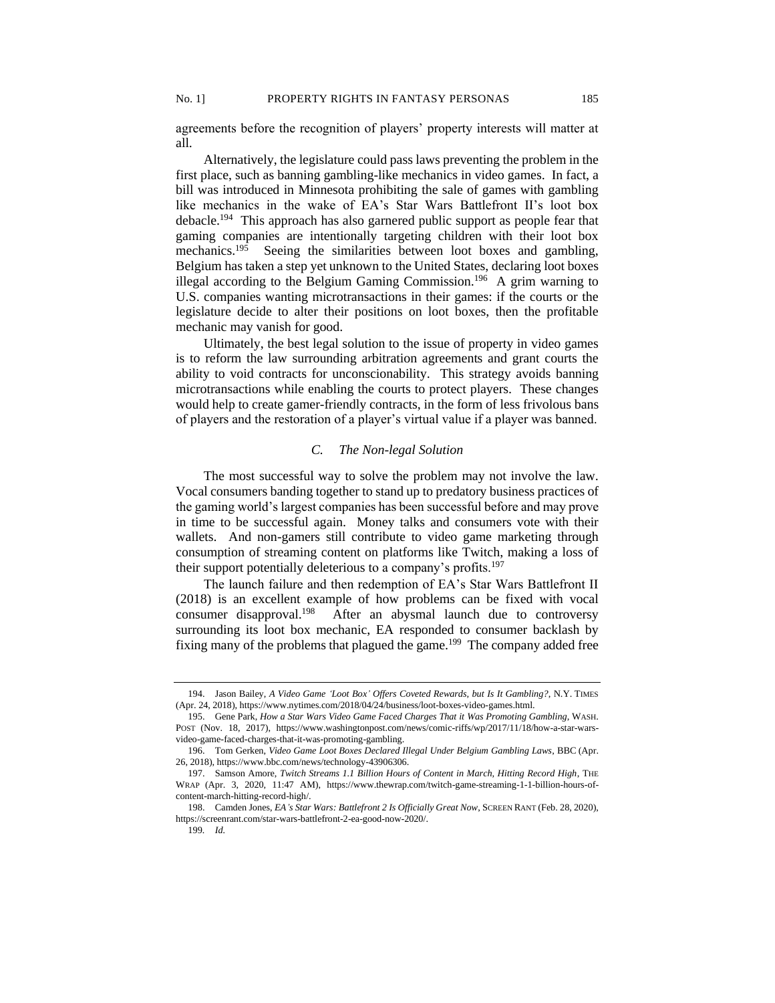agreements before the recognition of players' property interests will matter at all.

Alternatively, the legislature could pass laws preventing the problem in the first place, such as banning gambling-like mechanics in video games. In fact, a bill was introduced in Minnesota prohibiting the sale of games with gambling like mechanics in the wake of EA's Star Wars Battlefront II's loot box debacle.<sup>194</sup> This approach has also garnered public support as people fear that gaming companies are intentionally targeting children with their loot box mechanics.<sup>195</sup> Seeing the similarities between loot boxes and gambling, Belgium has taken a step yet unknown to the United States, declaring loot boxes illegal according to the Belgium Gaming Commission.<sup>196</sup> A grim warning to U.S. companies wanting microtransactions in their games: if the courts or the legislature decide to alter their positions on loot boxes, then the profitable mechanic may vanish for good.

Ultimately, the best legal solution to the issue of property in video games is to reform the law surrounding arbitration agreements and grant courts the ability to void contracts for unconscionability. This strategy avoids banning microtransactions while enabling the courts to protect players. These changes would help to create gamer-friendly contracts, in the form of less frivolous bans of players and the restoration of a player's virtual value if a player was banned.

# *C. The Non-legal Solution*

The most successful way to solve the problem may not involve the law. Vocal consumers banding together to stand up to predatory business practices of the gaming world's largest companies has been successful before and may prove in time to be successful again. Money talks and consumers vote with their wallets. And non-gamers still contribute to video game marketing through consumption of streaming content on platforms like Twitch, making a loss of their support potentially deleterious to a company's profits.<sup>197</sup>

The launch failure and then redemption of EA's Star Wars Battlefront II (2018) is an excellent example of how problems can be fixed with vocal consumer disapproval.<sup>198</sup> After an abysmal launch due to controversy surrounding its loot box mechanic, EA responded to consumer backlash by fixing many of the problems that plagued the game.<sup>199</sup> The company added free

<sup>194.</sup> Jason Bailey, *A Video Game 'Loot Box' Offers Coveted Rewards, but Is It Gambling?*, N.Y. TIMES (Apr. 24, 2018), https://www.nytimes.com/2018/04/24/business/loot-boxes-video-games.html.

<sup>195.</sup> Gene Park, *How a Star Wars Video Game Faced Charges That it Was Promoting Gambling*, WASH. POST (Nov. 18, 2017), https://www.washingtonpost.com/news/comic-riffs/wp/2017/11/18/how-a-star-warsvideo-game-faced-charges-that-it-was-promoting-gambling.

<sup>196.</sup> Tom Gerken, *Video Game Loot Boxes Declared Illegal Under Belgium Gambling Laws*, BBC (Apr. 26, 2018), https://www.bbc.com/news/technology-43906306.

<sup>197.</sup> Samson Amore, *Twitch Streams 1.1 Billion Hours of Content in March, Hitting Record High*, THE WRAP (Apr. 3, 2020, 11:47 AM), https://www.thewrap.com/twitch-game-streaming-1-1-billion-hours-ofcontent-march-hitting-record-high/.

<sup>198.</sup> Camden Jones, *EA's Star Wars: Battlefront 2 Is Officially Great Now*, SCREEN RANT (Feb. 28, 2020), https://screenrant.com/star-wars-battlefront-2-ea-good-now-2020/.